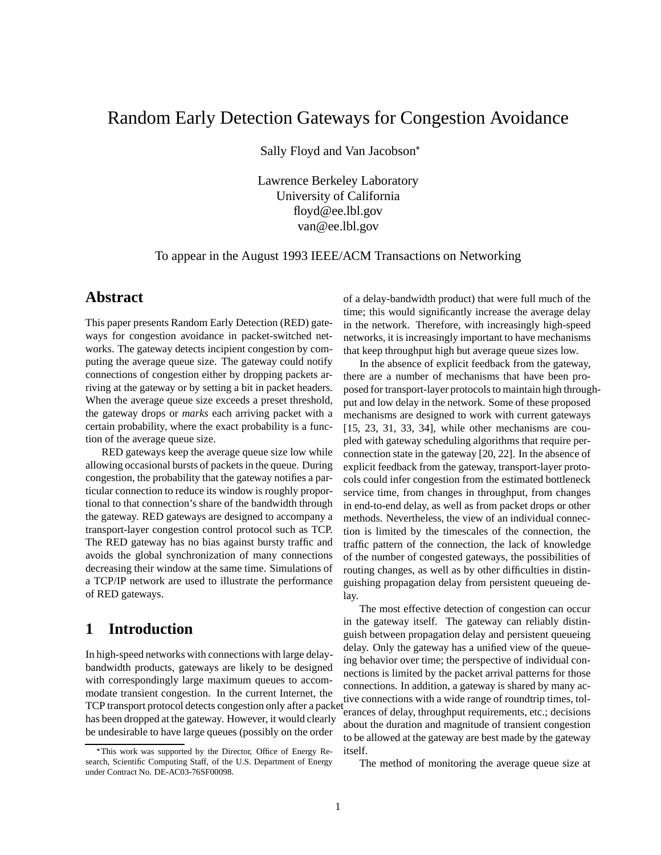# Random Early Detection Gateways for Congestion Avoidance

Sally Floyd and Van Jacobson

Lawrence Berkeley Laboratory University of California floyd@ee.lbl.gov van@ee.lbl.gov

To appear in the August 1993 IEEE/ACM Transactions on Networking

## **Abstract**

This paper presents Random Early Detection (RED) gateways for congestion avoidance in packet-switched networks. The gateway detects incipient congestion by computing the average queue size. The gateway could notify connections of congestion either by dropping packets arriving at the gateway or by setting a bit in packet headers. When the average queue size exceeds a preset threshold, the gateway drops or *marks* each arriving packet with a certain probability, where the exact probability is a function of the average queue size.

RED gateways keep the average queue size low while allowing occasional bursts of packetsin the queue. During congestion, the probability that the gateway notifies a particular connection to reduce its window is roughly proportional to that connection's share of the bandwidth through the gateway. RED gateways are designed to accompany a transport-layer congestion control protocol such as TCP. The RED gateway has no bias against bursty traffic and avoids the global synchronization of many connections decreasing their window at the same time. Simulations of a TCP/IP network are used to illustrate the performance of RED gateways.

## **1 Introduction**

In high-speed networks with connections with large delaybandwidth products, gateways are likely to be designed with correspondingly large maximum queues to accommodate transient congestion. In the current Internet, the modate transfer congestion. In the current interfact, the tive connections with a wide range of roundtrip times, tol-<br>TCP transport protocol detects congestion only after a packet has been dropped at the gateway. However, it would clearly be undesirable to have large queues (possibly on the order

of a delay-bandwidth product) that were full much of the time; this would significantly increase the average delay in the network. Therefore, with increasingly high-speed networks, it is increasingly important to have mechanisms that keep throughput high but average queue sizes low.

In the absence of explicit feedback from the gateway, there are a number of mechanisms that have been proposed for transport-layer protocols to maintain high throughput and low delay in the network. Some of these proposed mechanisms are designed to work with current gateways [15, 23, 31, 33, 34], while other mechanisms are coupled with gateway scheduling algorithms that require perconnection state in the gateway [20, 22]. In the absence of explicit feedback from the gateway, transport-layer protocols could infer congestion from the estimated bottleneck service time, from changes in throughput, from changes in end-to-end delay, as well as from packet drops or other methods. Nevertheless, the view of an individual connection is limited by the timescales of the connection, the traffic pattern of the connection, the lack of knowledge of the number of congested gateways, the possibilities of routing changes, as well as by other difficulties in distinguishing propagation delay from persistent queueing delay.

The most effective detection of congestion can occur in the gateway itself. The gateway can reliably distinguish between propagation delay and persistent queueing delay. Only the gateway has a unified view of the queueing behavior over time; the perspective of individual connections is limited by the packet arrival patterns for those connections. In addition, a gateway is shared by many acerances of delay, throughput requirements, etc.; decisions about the duration and magnitude of transient congestion to be allowed at the gateway are best made by the gateway itself.

The method of monitoring the average queue size at

This work was supported by the Director, Office of Energy Research, Scientific Computing Staff, of the U.S. Department of Energy under Contract No. DE-AC03-76SF00098.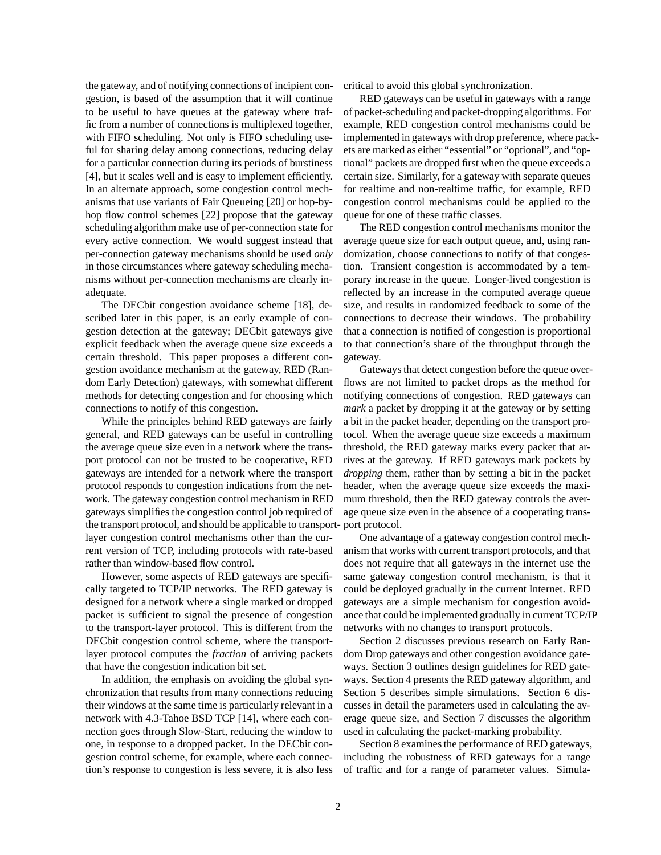the gateway, and of notifying connections of incipient congestion, is based of the assumption that it will continue to be useful to have queues at the gateway where traffic from a number of connections is multiplexed together, with FIFO scheduling. Not only is FIFO scheduling useful for sharing delay among connections, reducing delay for a particular connection during its periods of burstiness [4], but it scales well and is easy to implement efficiently. In an alternate approach, some congestion control mechanisms that use variants of Fair Queueing [20] or hop-byhop flow control schemes [22] propose that the gateway scheduling algorithm make use of per-connection state for every active connection. We would suggest instead that per-connection gateway mechanisms should be used *only* in those circumstances where gateway scheduling mechanisms without per-connection mechanisms are clearly inadequate.

The DECbit congestion avoidance scheme [18], described later in this paper, is an early example of congestion detection at the gateway; DECbit gateways give explicit feedback when the average queue size exceeds a certain threshold. This paper proposes a different congestion avoidance mechanism at the gateway, RED (Random Early Detection) gateways, with somewhat different methods for detecting congestion and for choosing which connections to notify of this congestion.

While the principles behind RED gateways are fairly general, and RED gateways can be useful in controlling the average queue size even in a network where the transport protocol can not be trusted to be cooperative, RED gateways are intended for a network where the transport protocol responds to congestion indications from the network. The gateway congestion control mechanism in RED gateways simplifies the congestion control job required of the transport protocol, and should be applicable to transportlayer congestion control mechanisms other than the current version of TCP, including protocols with rate-based rather than window-based flow control.

However, some aspects of RED gateways are specifically targeted to TCP/IP networks. The RED gateway is designed for a network where a single marked or dropped packet is sufficient to signal the presence of congestion to the transport-layer protocol. This is different from the DECbit congestion control scheme, where the transportlayer protocol computes the *fraction* of arriving packets that have the congestion indication bit set.

In addition, the emphasis on avoiding the global synchronization that results from many connections reducing their windows at the same time is particularly relevantin a network with 4.3-Tahoe BSD TCP [14], where each connection goes through Slow-Start, reducing the window to one, in response to a dropped packet. In the DECbit congestion control scheme, for example, where each connection's response to congestion is less severe, it is also less critical to avoid this global synchronization.

RED gateways can be useful in gateways with a range of packet-scheduling and packet-dropping algorithms. For example, RED congestion control mechanisms could be implemented in gateways with drop preference, where packets are marked as either "essential" or "optional", and "optional" packets are dropped first when the queue exceeds a certain size. Similarly, for a gateway with separate queues for realtime and non-realtime traffic, for example, RED congestion control mechanisms could be applied to the queue for one of these traffic classes.

The RED congestion control mechanisms monitor the average queue size for each output queue, and, using randomization, choose connections to notify of that congestion. Transient congestion is accommodated by a temporary increase in the queue. Longer-lived congestion is reflected by an increase in the computed average queue size, and results in randomized feedback to some of the connections to decrease their windows. The probability that a connection is notified of congestion is proportional to that connection's share of the throughput through the gateway.

Gatewaysthat detect congestion before the queue overflows are not limited to packet drops as the method for notifying connections of congestion. RED gateways can *mark* a packet by dropping it at the gateway or by setting a bit in the packet header, depending on the transport protocol. When the average queue size exceeds a maximum threshold, the RED gateway marks every packet that arrives at the gateway. If RED gateways mark packets by *dropping* them, rather than by setting a bit in the packet header, when the average queue size exceeds the maximum threshold, then the RED gateway controls the average queue size even in the absence of a cooperating transport protocol.

One advantage of a gateway congestion control mechanism that works with current transport protocols, and that does not require that all gateways in the internet use the same gateway congestion control mechanism, is that it could be deployed gradually in the current Internet. RED gateways are a simple mechanism for congestion avoidance that could be implemented gradually in current TCP/IP networks with no changes to transport protocols.

Section 2 discusses previous research on Early Random Drop gateways and other congestion avoidance gateways. Section 3 outlines design guidelines for RED gateways. Section 4 presents the RED gateway algorithm, and Section 5 describes simple simulations. Section 6 discusses in detail the parameters used in calculating the average queue size, and Section 7 discusses the algorithm used in calculating the packet-marking probability.

Section 8 examines the performance of RED gateways, including the robustness of RED gateways for a range of traffic and for a range of parameter values. Simula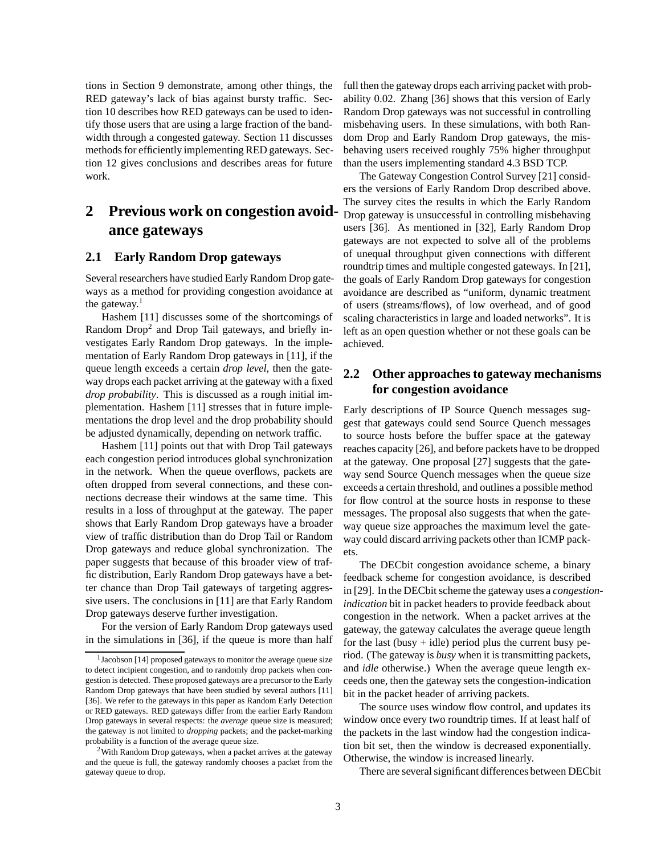tions in Section 9 demonstrate, among other things, the RED gateway's lack of bias against bursty traffic. Section 10 describes how RED gateways can be used to identify those users that are using a large fraction of the bandwidth through a congested gateway. Section 11 discusses methods for efficiently implementing RED gateways. Sec-tion 12 gives conclusions and describes areas for future work.

## **2 Previous work on congestion avoidance gateways**

#### **2.1 Early Random Drop gateways**

Several researchers have studied Early Random Drop gateways as a method for providing congestion avoidance at the gateway.<sup>1</sup>

Hashem [11] discusses some of the shortcomings of Random Drop<sup>2</sup> and Drop Tail gateways, and briefly investigates Early Random Drop gateways. In the implementation of Early Random Drop gateways in [11], if the queue length exceeds a certain *drop level*, then the gateway drops each packet arriving at the gateway with a fixed *drop probability*. This is discussed as a rough initial implementation. Hashem [11] stresses that in future implementations the drop level and the drop probability should be adjusted dynamically, depending on network traffic.

Hashem [11] points out that with Drop Tail gateways each congestion period introduces global synchronization in the network. When the queue overflows, packets are often dropped from several connections, and these connections decrease their windows at the same time. This results in a loss of throughput at the gateway. The paper shows that Early Random Drop gateways have a broader view of traffic distribution than do Drop Tail or Random Drop gateways and reduce global synchronization. The paper suggests that because of this broader view of traffic distribution, Early Random Drop gateways have a better chance than Drop Tail gateways of targeting aggressive users. The conclusions in [11] are that Early Random Drop gateways deserve further investigation.

For the version of Early Random Drop gateways used in the simulations in [36], if the queue is more than half full then the gateway drops each arriving packet with probability 0.02. Zhang [36] shows that this version of Early Random Drop gateways was not successful in controlling misbehaving users. In these simulations, with both Random Drop and Early Random Drop gateways, the misbehaving users received roughly 75% higher throughput than the users implementing standard 4.3 BSD TCP.

The Gateway Congestion Control Survey [21] considers the versions of Early Random Drop described above. The survey cites the results in which the Early Random Drop gateway is unsuccessful in controlling misbehaving users [36]. As mentioned in [32], Early Random Drop gateways are not expected to solve all of the problems of unequal throughput given connections with different roundtrip times and multiple congested gateways. In [21], the goals of Early Random Drop gateways for congestion avoidance are described as "uniform, dynamic treatment of users (streams/flows), of low overhead, and of good scaling characteristics in large and loaded networks". It is left as an open question whether or not these goals can be achieved.

## **2.2 Other approachesto gateway mechanisms for congestion avoidance**

Early descriptions of IP Source Quench messages suggest that gateways could send Source Quench messages to source hosts before the buffer space at the gateway reaches capacity [26], and before packets have to be dropped at the gateway. One proposal [27] suggests that the gateway send Source Quench messages when the queue size exceeds a certain threshold, and outlines a possible method for flow control at the source hosts in response to these messages. The proposal also suggests that when the gateway queue size approaches the maximum level the gateway could discard arriving packets other than ICMP packets.

The DECbit congestion avoidance scheme, a binary feedback scheme for congestion avoidance, is described in [29]. In the DEC bit scheme the gateway uses a *congestionindication* bit in packet headers to provide feedback about congestion in the network. When a packet arrives at the gateway, the gateway calculates the average queue length for the last (busy  $+$  idle) period plus the current busy period. (The gateway is *busy* when it is transmitting packets, and *idle* otherwise.) When the average queue length exceeds one, then the gateway sets the congestion-indication bit in the packet header of arriving packets.

The source uses window flow control, and updates its window once every two roundtrip times. If at least half of the packets in the last window had the congestion indication bit set, then the window is decreased exponentially. Otherwise, the window is increased linearly.

There are several significant differences between DECbit

 $1$ Jacobson [14] proposed gateways to monitor the average queue size to detect incipient congestion, and to randomly drop packets when congestion is detected. These proposed gateways are a precursor to the Early Random Drop gateways that have been studied by several authors [11] [36]. We refer to the gateways in this paper as Random Early Detection or RED gateways. RED gateways differ from the earlier Early Random Drop gateways in several respects: the *average* queue size is measured; the gateway is not limited to *dropping* packets; and the packet-marking probability is a function of the average queue size.

 $2$ With Random Drop gateways, when a packet arrives at the gateway and the queue is full, the gateway randomly chooses a packet from the gateway queue to drop.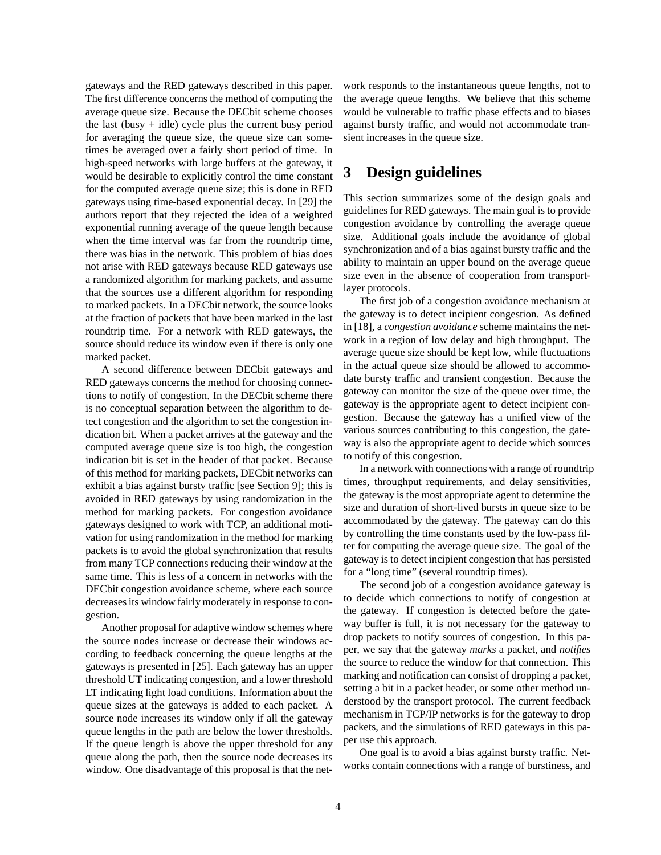gateways and the RED gateways described in this paper. The first difference concerns the method of computing the average queue size. Because the DECbit scheme chooses the last (busy  $+$  idle) cycle plus the current busy period for averaging the queue size, the queue size can sometimes be averaged over a fairly short period of time. In high-speed networks with large buffers at the gateway, it would be desirable to explicitly control the time constant for the computed average queue size; this is done in RED gateways using time-based exponential decay. In [29] the authors report that they rejected the idea of a weighted exponential running average of the queue length because when the time interval was far from the roundtrip time, there was bias in the network. This problem of bias does not arise with RED gateways because RED gateways use a randomized algorithm for marking packets, and assume that the sources use a different algorithm for responding to marked packets. In a DECbit network, the source looks at the fraction of packets that have been marked in the last roundtrip time. For a network with RED gateways, the source should reduce its window even if there is only one marked packet.

A second difference between DECbit gateways and RED gateways concerns the method for choosing connections to notify of congestion. In the DECbit scheme there is no conceptual separation between the algorithm to detect congestion and the algorithm to set the congestion indication bit. When a packet arrives at the gateway and the computed average queue size is too high, the congestion indication bit is set in the header of that packet. Because of this method for marking packets, DECbit networks can exhibit a bias against bursty traffic [see Section 9]; this is avoided in RED gateways by using randomization in the method for marking packets. For congestion avoidance gateways designed to work with TCP, an additional motivation for using randomization in the method for marking packets is to avoid the global synchronization that results from many TCP connections reducing their window at the same time. This is less of a concern in networks with the DECbit congestion avoidance scheme, where each source decreases its window fairly moderately in response to congestion.

Another proposal for adaptive window schemes where the source nodes increase or decrease their windows according to feedback concerning the queue lengths at the gateways is presented in [25]. Each gateway has an upper threshold UT indicating congestion, and a lower threshold LT indicating light load conditions. Information about the queue sizes at the gateways is added to each packet. A source node increases its window only if all the gateway queue lengths in the path are below the lower thresholds. If the queue length is above the upper threshold for any queue along the path, then the source node decreases its window. One disadvantage of this proposal is that the network responds to the instantaneous queue lengths, not to the average queue lengths. We believe that this scheme would be vulnerable to traffic phase effects and to biases against bursty traffic, and would not accommodate transient increases in the queue size.

## **3 Design guidelines**

This section summarizes some of the design goals and guidelines for RED gateways. The main goal is to provide congestion avoidance by controlling the average queue size. Additional goals include the avoidance of global synchronization and of a bias against bursty traffic and the ability to maintain an upper bound on the average queue size even in the absence of cooperation from transportlayer protocols.

The first job of a congestion avoidance mechanism at the gateway is to detect incipient congestion. As defined in [18], a *congestion avoidance* scheme maintains the network in a region of low delay and high throughput. The average queue size should be kept low, while fluctuations in the actual queue size should be allowed to accommodate bursty traffic and transient congestion. Because the gateway can monitor the size of the queue over time, the gateway is the appropriate agent to detect incipient congestion. Because the gateway has a unified view of the various sources contributing to this congestion, the gateway is also the appropriate agent to decide which sources to notify of this congestion.

In a network with connections with a range of roundtrip times, throughput requirements, and delay sensitivities, the gateway is the most appropriate agent to determine the size and duration of short-lived bursts in queue size to be accommodated by the gateway. The gateway can do this by controlling the time constants used by the low-pass filter for computing the average queue size. The goal of the gateway is to detect incipient congestion that has persisted for a "long time" (several roundtrip times).

The second job of a congestion avoidance gateway is to decide which connections to notify of congestion at the gateway. If congestion is detected before the gateway buffer is full, it is not necessary for the gateway to drop packets to notify sources of congestion. In this paper, we say that the gateway *marks* a packet, and *notifies* the source to reduce the window for that connection. This marking and notification can consist of dropping a packet, setting a bit in a packet header, or some other method understood by the transport protocol. The current feedback mechanism in TCP/IP networks is for the gateway to drop packets, and the simulations of RED gateways in this paper use this approach.

One goal is to avoid a bias against bursty traffic. Networks contain connections with a range of burstiness, and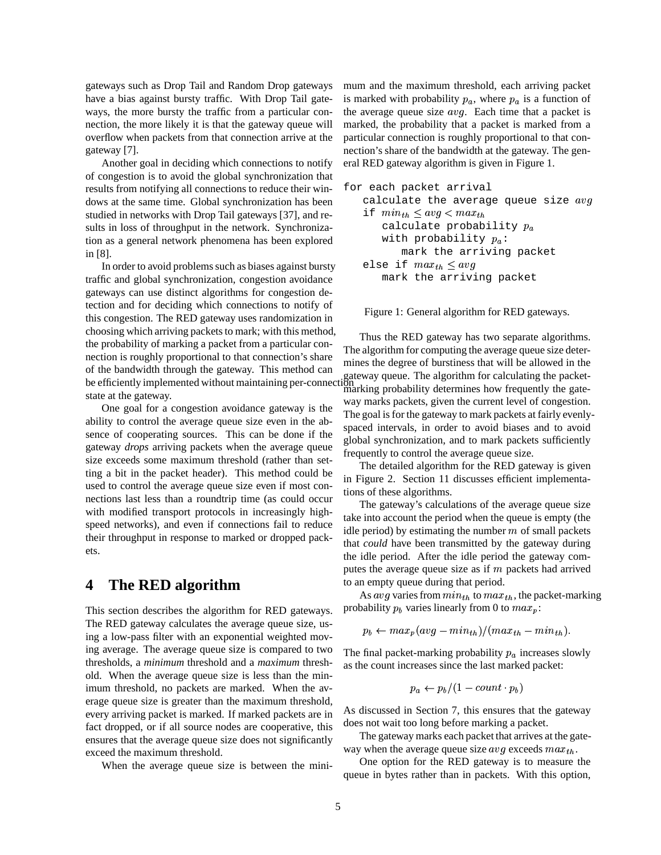gateways such as Drop Tail and Random Drop gateways have a bias against bursty traffic. With Drop Tail gateways, the more bursty the traffic from a particular connection, the more likely it is that the gateway queue will overflow when packets from that connection arrive at the gateway [7].

Another goal in deciding which connections to notify of congestion is to avoid the global synchronization that results from notifying all connections to reduce their windows at the same time. Global synchronization has been studied in networks with Drop Tail gateways [37], and results in loss of throughput in the network. Synchronization as a general network phenomena has been explored in [8].

In order to avoid problems such as biases against bursty traffic and global synchronization, congestion avoidance gateways can use distinct algorithms for congestion detection and for deciding which connections to notify of this congestion. The RED gateway uses randomization in choosing which arriving packets to mark; with this method, the probability of marking a packet from a particular connection is roughly proportional to that connection's share of the bandwidth through the gateway. This method can be efficiently implemented without maintaining per-connectionstate at the gateway.

One goal for a congestion avoidance gateway is the ability to control the average queue size even in the absence of cooperating sources. This can be done if the gateway *drops* arriving packets when the average queue size exceeds some maximum threshold (rather than setting a bit in the packet header). This method could be used to control the average queue size even if most connections last less than a roundtrip time (as could occur with modified transport protocols in increasingly highspeed networks), and even if connections fail to reduce their throughput in response to marked or dropped packets.

## **4 The RED algorithm**

This section describes the algorithm for RED gateways. The RED gateway calculates the average queue size, using a low-pass filter with an exponential weighted moving average. The average queue size is compared to two thresholds, a *minimum* threshold and a *maximum* threshold. When the average queue size is less than the minimum threshold, no packets are marked. When the average queue size is greater than the maximum threshold, every arriving packet is marked. If marked packets are in fact dropped, or if all source nodes are cooperative, this ensures that the average queue size does not significantly exceed the maximum threshold.

When the average queue size is between the mini-

mum and the maximum threshold, each arriving packet is marked with probability  $p_a$ , where  $p_a$  is a function of the average queue size  $avg$ . Each time that a packet is marked, the probability that a packet is marked from a particular connection is roughly proportional to that connection's share of the bandwidth at the gateway. The general RED gateway algorithm is given in Figure 1.

```
for each packet arrival
   calculate the average queue size avg\sim \simif min_{th} \leq avg < max_{th}calculate probability p_awith probability p_a\colonmark the arriving packet
   else if max_{th} \leq avgmark the arriving packet
```
Figure 1: General algorithm for RED gateways.

Thus the RED gateway has two separate algorithms. The algorithm for computing the average queue size determines the degree of burstiness that will be allowed in the gateway queue. The algorithm for calculating the packettion the probability determines how frequently the gate-<br>marking probability determines how frequently the gateway marks packets, given the current level of congestion. The goal is for the gateway to mark packets at fairly evenlyspaced intervals, in order to avoid biases and to avoid global synchronization, and to mark packets sufficiently frequently to control the average queue size.

The detailed algorithm for the RED gateway is given in Figure 2. Section 11 discusses efficient implementations of these algorithms.

The gateway's calculations of the average queue size take into account the period when the queue is empty (the idle period) by estimating the number  $m$  of small packets that *could* have been transmitted by the gateway during the idle period. After the idle period the gateway computes the average queue size as if  $m$  packets had arrived to an empty queue during that period.

As avg varies from  $min_{th}$  to  $max_{th}$ , the packet-marking probability  $p_b$  varies linearly from 0 to  $max_p$ :

 $p_k \leftarrow max_{\pi}(ave - min_{\pi k})/(max_{\pi k} - min_{\pi k}).$ 

The final packet-marking probability  $p_a$  increases slowly as the count increases since the last marked packet:

$$
p_a \leftarrow p_b/(1 - count \cdot p_b)
$$

As discussed in Section 7, this ensures that the gateway does not wait too long before marking a packet.

The gateway marks each packet that arrives at the gateway when the average queue size  $avg$  exceeds  $max_{th}$ .

One option for the RED gateway is to measure the queue in bytes rather than in packets. With this option,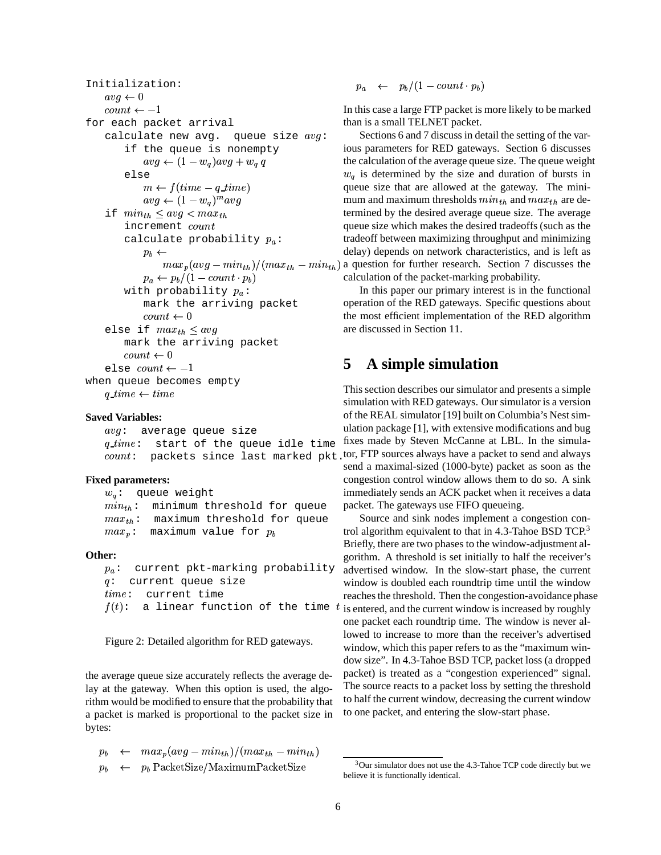```
Initialization:
    \mathit{avg} \leftarrow \cupcount \leftarrow -1for each packet arrival
   calculate new avg.
                             queue size avg:
        if the queue is nonempty
            \alpha v \alpha \leftarrow (1 - w_a) \alpha v \alpha + w_a \alphaelse
           m \leftarrow f(time - q_time)\mathit{avg} \leftarrow (1 - w_a)" \mathit{avg}if min_{th} \leq avg < max_{th}increment count
        calculate probability p_a:
           -
! $
           p_a \leftarrow p_b / (1 - count \cdot p_b)with probability p_a\colonmark the arriving packet
           count \leftarrow 0else if max_{th} \leq avgmark the arriving packet
       count \leftarrow 0else count \leftarrow -1when queue becomes empty
    q_time \leftarrow time
```
#### **Saved Variables:**

 $avg:$  average queue size  $q_time:$  start of the queue idle time  $count:$  packets since last marked pkt

#### **Fixed parameters:**

 $w_q$ : queue weight  $min_{th}$ : minimum threshold for queue  $max_{th}$ : maximum threshold for queue  $max_p \colon$  maximum value for  $p_b$ 

#### **Other:**

 $p_a$ : current pkt-marking probability  $q:$  current queue size time: current time

Figure 2: Detailed algorithm for RED gateways.

the average queue size accurately reflects the average delay at the gateway. When this option is used, the algorithm would be modified to ensure that the probability that a packet is marked is proportional to the packet size in bytes:

 $p_{k} \leftarrow \text{max}_{n}(\text{avg} - \text{min}_{k} \text{m}) / (\text{max}_{k} - \text{min}_{k} \text{m})$  $p_b \leftrightarrow p_b$  PacketSize/MaximumPacketSize

 $p_a \leftarrow p_b/(1 - count \cdot p_b)$ 

In this case a large FTP packet is more likely to be marked than is a small TELNET packet.

 $max_p (avg - min_{th})/(max_{th} - min_{th})$  a question for further research. Section 7 discusses the Sections 6 and 7 discuss in detail the setting of the various parameters for RED gateways. Section 6 discusses the calculation of the average queue size. The queue weight  $w<sub>a</sub>$  is determined by the size and duration of bursts in queue size that are allowed at the gateway. The minimum and maximum thresholds  $min_{th}$  and  $max_{th}$  are determined by the desired average queue size. The average queue size which makes the desired tradeoffs (such as the tradeoff between maximizing throughput and minimizing delay) depends on network characteristics, and is left as calculation of the packet-marking probability.

> In this paper our primary interest is in the functional operation of the RED gateways. Specific questions about the most efficient implementation of the RED algorithm are discussed in Section 11.

## **5 A simple simulation**

This section describes our simulator and presents a simple simulation with RED gateways. Our simulator is a version of the REAL simulator [19] built on Columbia's Nest simulation package [1], with extensive modifications and bug fixes made by Steven McCanne at LBL. In the simulator, FTP sources always have a packet to send and always send a maximal-sized (1000-byte) packet as soon as the congestion control window allows them to do so. A sink immediately sends an ACK packet when it receives a data packet. The gateways use FIFO queueing.

 $f(t)\colon \quad$  a linear function of the time  $t$  isentered, and the current window is increased by roughly Source and sink nodes implement a congestion control algorithm equivalent to that in 4.3-Tahoe BSD TCP.<sup>3</sup> Briefly, there are two phases to the window-adjustment algorithm. A threshold is set initially to half the receiver's advertised window. In the slow-start phase, the current window is doubled each roundtrip time until the window reaches the threshold. Then the congestion-avoidance phase one packet each roundtrip time. The window is never allowed to increase to more than the receiver's advertised window, which this paper refers to as the "maximum window size". In 4.3-Tahoe BSD TCP, packet loss (a dropped packet) is treated as a "congestion experienced" signal. The source reacts to a packet loss by setting the threshold to half the current window, decreasing the current window to one packet, and entering the slow-start phase.

<sup>3</sup>Our simulator does not use the 4.3-Tahoe TCP code directly but we believe it is functionally identical.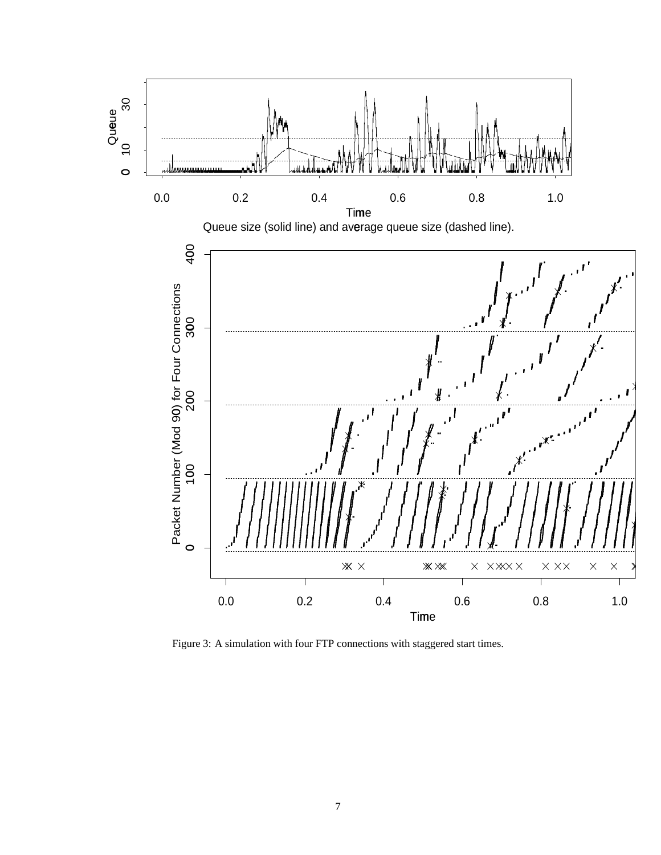

Figure 3: A simulation with four FTP connections with staggered start times.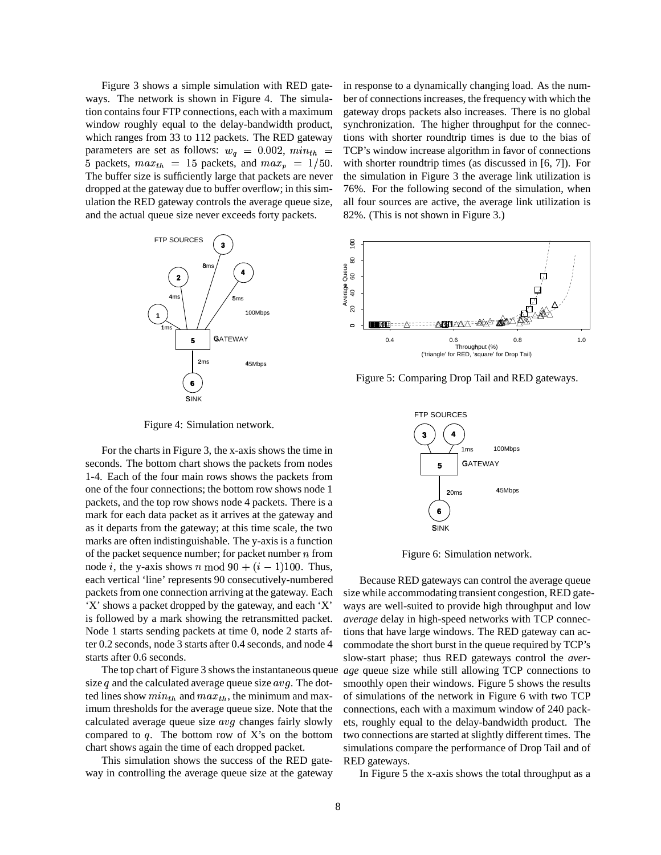Figure 3 shows a simple simulation with RED gateways. The network is shown in Figure 4. The simulation contains four FTP connections, each with a maximum window roughly equal to the delay-bandwidth product, which ranges from 33 to 112 packets. The RED gateway parameters are set as follows:  $w_q = 0.002$ ,  $min_{th} = TCP$ 's winder 5 packets,  $max_{th}$  = 15 packets, and  $max_{p}$  = 1/50. with sl The buffer size is sufficiently large that packets are never dropped at the gateway due to buffer overflow; in this simulation the RED gateway controls the average queue size, and the actual queue size never exceeds forty packets.



Figure 4: Simulation network.

For the charts in Figure 3, the x-axis shows the time in seconds. The bottom chart shows the packets from nodes 1-4. Each of the four main rows shows the packets from one of the four connections; the bottom row shows node 1 packets, and the top row shows node 4 packets. There is a mark for each data packet as it arrives at the gateway and as it departs from the gateway; at this time scale, the two marks are often indistinguishable. The y-axis is a function of the packet sequence number; for packet number  $n$  from node *i*, the y-axis shows *n* mod  $90 + (i - 1)100$ . Thus, each vertical 'line' represents 90 consecutively-numbered packets from one connection arriving at the gateway. Each 'X' shows a packet dropped by the gateway, and each 'X' is followed by a mark showing the retransmitted packet. Node 1 starts sending packets at time 0, node 2 starts after 0.2 seconds, node 3 starts after 0.4 seconds, and node 4 starts after 0.6 seconds.

The top chart of Figure 3 shows the instantaneous queue size q and the calculated average queue size  $avg$ . The dotted lines show  $min_{th}$  and  $max_{th}$ , the minimum and maximum thresholds for the average queue size. Note that the calculated average queue size  $avg$  changes fairly slowly compared to  $q$ . The bottom row of X's on the bottom chart shows again the time of each dropped packet.

This simulation shows the success of the RED gateway in controlling the average queue size at the gateway in response to a dynamically changing load. As the number of connections increases, the frequency with which the gateway drops packets also increases. There is no global synchronization. The higher throughput for the connections with shorter roundtrip times is due to the bias of TCP's window increase algorithm in favor of connections with shorter roundtrip times (as discussed in [6, 7]). For the simulation in Figure 3 the average link utilization is 76%. For the following second of the simulation, when all four sources are active, the average link utilization is 82%. (This is not shown in Figure 3.)



Figure 5: Comparing Drop Tail and RED gateways.



Figure 6: Simulation network.

Because RED gateways can control the average queue size while accommodating transient congestion, RED gateways are well-suited to provide high throughput and low *average* delay in high-speed networks with TCP connections that have large windows. The RED gateway can accommodate the short burstin the queue required by TCP's slow-start phase; thus RED gateways control the *average* queue size while still allowing TCP connections to smoothly open their windows. Figure 5 shows the results of simulations of the network in Figure 6 with two TCP connections, each with a maximum window of 240 packets, roughly equal to the delay-bandwidth product. The two connections are started at slightly different times. The simulations compare the performance of Drop Tail and of RED gateways.

In Figure 5 the x-axis shows the total throughput as a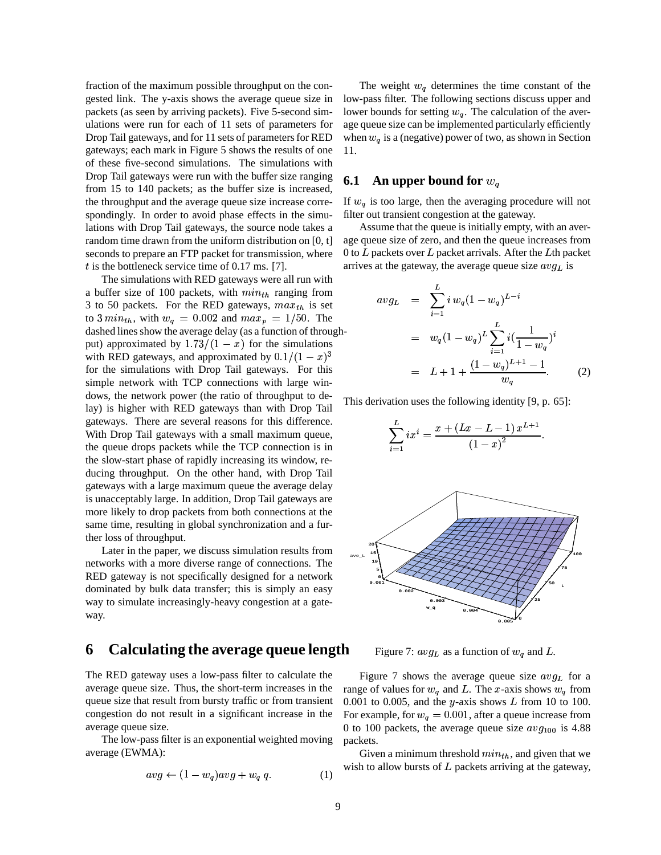fraction of the maximum possible throughput on the congested link. The y-axis shows the average queue size in packets (as seen by arriving packets). Five 5-second simulations were run for each of 11 sets of parameters for Drop Tail gateways, and for 11 sets of parameters for RED gateways; each mark in Figure 5 shows the results of one of these five-second simulations. The simulations with Drop Tail gateways were run with the buffer size ranging from 15 to 140 packets; as the buffer size is increased, the throughput and the average queue size increase correspondingly. In order to avoid phase effects in the simulations with Drop Tail gateways, the source node takes a random time drawn from the uniform distribution on [0, t] seconds to prepare an FTP packet for transmission, where  $t$  is the bottleneck service time of 0.17 ms. [7].

The simulations with RED gateways were all run with a buffer size of 100 packets, with  $min_{th}$  ranging from 3 to 50 packets. For the RED gateways,  $max_{th}$  is set to  $3\,min_{th}$ , with  $w_q = 0.002$  and  $max_p = 1/50$ . The dashed lines show the average delay (as a function of throughput) approximated by  $1.73/(1 - x)$  for the simulations with RED gateways, and approximated by  $0.1/(1-x)^3$ for the simulations with Drop Tail gateways. For this simple network with TCP connections with large windows, the network power (the ratio of throughput to delay) is higher with RED gateways than with Drop Tail gateways. There are several reasons for this difference. With Drop Tail gateways with a small maximum queue, the queue drops packets while the TCP connection is in the slow-start phase of rapidly increasing its window, reducing throughput. On the other hand, with Drop Tail gateways with a large maximum queue the average delay is unacceptably large. In addition, Drop Tail gateways are more likely to drop packets from both connections at the same time, resulting in global synchronization and a further loss of throughput.

Later in the paper, we discuss simulation results from networks with a more diverse range of connections. The RED gateway is not specifically designed for a network dominated by bulk data transfer; this is simply an easy way to simulate increasingly-heavy congestion at a gateway.

## **6 Calculating the average queue length**

The RED gateway uses a low-pass filter to calculate the average queue size. Thus, the short-term increases in the queue size that result from bursty traffic or from transient congestion do not result in a significant increase in the average queue size.

The low-pass filter is an exponential weighted moving average (EWMA):

$$
avg \leftarrow (1 - w_q)avg + w_q q. \tag{1}
$$

The weight  $w_q$  determines the time constant of the low-pass filter. The following sections discuss upper and lower bounds for setting  $w_q$ . The calculation of the average queue size can be implemented particularly efficiently when  $w_q$  is a (negative) power of two, as shown in Section 11.

## **6.1 An upper bound for**

If  $w_q$  is too large, then the averaging procedure will not filter out transient congestion at the gateway.

Assume that the queue is initially empty, with an average queue size of zero, and then the queue increases from 0 to  $L$  packets over  $L$  packet arrivals. After the  $L$ th packet arrives at the gateway, the average queue size  $avg<sub>L</sub>$  is

$$
avg_L = \sum_{i=1}^{L} i w_q (1 - w_q)^{L-i}
$$
  
= 
$$
w_q (1 - w_q)^L \sum_{i=1}^{L} i (\frac{1}{1 - w_q})^i
$$
  
= 
$$
L + 1 + \frac{(1 - w_q)^{L+1} - 1}{w_q}.
$$
 (2)

This derivation uses the following identity [9, p. 65]:

$$
\sum_{i=1}^{L}ix^{i} = \frac{x + (Lx - L - 1)x^{L+1}}{(1 - x)^{2}}.
$$



Figure 7:  $avg_L$  as a function of  $w_q$  and L.

Figure 7 shows the average queue size  $avg<sub>L</sub>$  for a range of values for  $w_q$  and L. The x-axis shows  $w_q$  from 0.001 to 0.005, and the y-axis shows  $L$  from 10 to 100. For example, for  $w_q = 0.001$ , after a queue increase from 0 to 100 packets, the average queue size  $avg_{100}$  is 4.88 packets.

Given a minimum threshold  $min_{th}$ , and given that we wish to allow bursts of  $L$  packets arriving at the gateway,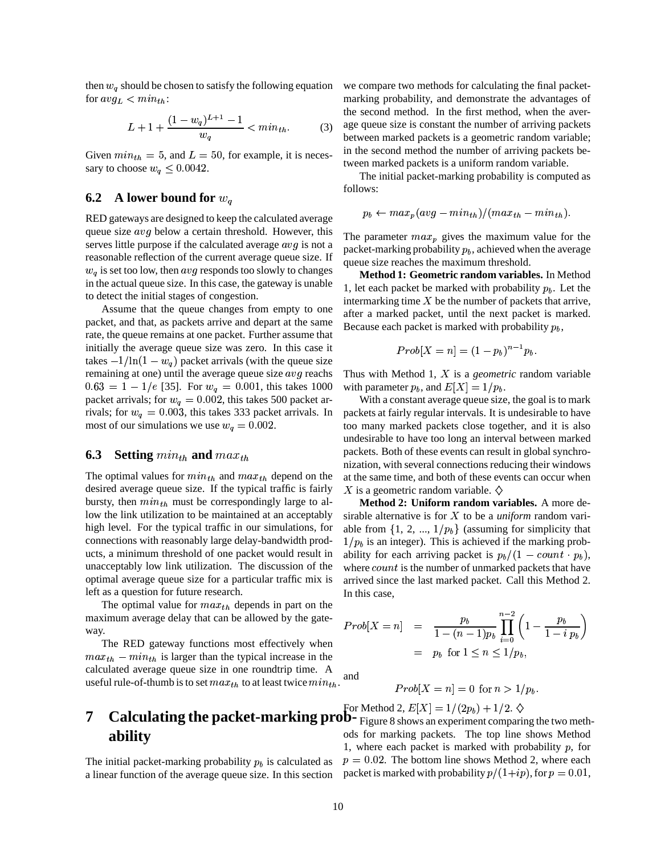then  $w_q$  should be chosen to satisfy the following equation for  $avg_L < min_{th}$ :

$$
L + 1 + \frac{(1 - w_q)^{L+1} - 1}{w_q} < min_{th}.\tag{3}
$$

Given  $min_{th} = 5$ , and  $L = 50$ , for example, it is necessary to choose  $w_q \leq 0.0042$ .

### **6.2 A lower bound for**

RED gateways are designed to keep the calculated average queue size  $avg$  below a certain threshold. However, this serves little purpose if the calculated average  $\alpha v q$  is not a reasonable reflection of the current average queue size. If  $w_q$  is set too low, then  $avg$  responds too slowly to changes in the actual queue size. In this case, the gateway is unable to detect the initial stages of congestion.

Assume that the queue changes from empty to one packet, and that, as packets arrive and depart at the same rate, the queue remains at one packet. Further assume that initially the average queue size was zero. In this case it takes  $-1/\ln(1-w_a)$  packet arrivals (with the queue size remaining at one) until the average queue size  $avg$  reachs  $0.63 = 1 - 1/e$  [35]. For  $w_q = 0.001$ , this takes 1000 packet arrivals; for  $w_q = 0.002$ , this takes 500 packet arrivals; for  $w_q = 0.003$ , this takes 333 packet arrivals. In most of our simulations we use  $w_q = 0.002$ .

### **6.3 Setting**  $min_{th}$  **and**  $max_{th}$

The optimal values for  $min_{th}$  and  $max_{th}$  depend on the desired average queue size. If the typical traffic is fairly bursty, then  $min_{th}$  must be correspondingly large to allow the link utilization to be maintained at an acceptably high level. For the typical traffic in our simulations, for connections with reasonably large delay-bandwidth products, a minimum threshold of one packet would result in unacceptably low link utilization. The discussion of the optimal average queue size for a particular traffic mix is left as a question for future research.

The optimal value for  $max_{th}$  depends in part on the maximum average delay that can be allowed by the gateway.

The RED gateway functions most effectively when  $max_{th} - min_{th}$  is larger than the typical increase in the calculated average queue size in one roundtrip time. A useful rule-of-thumb is to set  $max_{th}$  to at least twice  $min_{th}$ .

# **7 Calculating the packet-marking prob-** For Method 2,  $E[X] = 1/(2p_b) + 1/2$ .  $\diamondsuit$  **Calculating the packet-marking prob-** Figure 8 shows an experiment comparing the two meth **ability**

The initial packet-marking probability  $p_b$  is calculated as a linear function of the average queue size. In this section we compare two methods for calculating the final packetmarking probability, and demonstrate the advantages of the second method. In the first method, when the average queue size is constant the number of arriving packets between marked packets is a geometric random variable; in the second method the number of arriving packets between marked packets is a uniform random variable.

The initial packet-marking probability is computed as follows:

$$
p_b \leftarrow max_p(avg - min_{th})/(max_{th} - min_{th}).
$$

The parameter  $max_p$  gives the maximum value for the packet-marking probability  $p_b$ , achieved when the average queue size reaches the maximum threshold.

**Method1: Geometric random variables.** In Method 1, let each packet be marked with probability  $p_b$ . Let the intermarking time  $X$  be the number of packets that arrive, after a marked packet, until the next packet is marked. Because each packet is marked with probability  $p_b$ ,

$$
Prob[X = n] = (1 - p_b)^{n-1} p_b.
$$

Thus with Method 1, <sup>½</sup> is a *geometric* random variable with parameter  $p_b$ , and  $E[X] = 1/p_b$ .

With a constant average queue size, the goal is to mark packets at fairly regular intervals. It is undesirable to have too many marked packets close together, and it is also undesirable to have too long an interval between marked packets. Both of these events can result in global synchronization, with several connections reducing their windows at the same time, and both of these events can occur when X is a geometric random variable.  $\Diamond$ 

**Method 2: Uniform random variables.** A more desirable alternative is for  $X$  to be a *uniform* random variable from  $\{1, 2, ..., 1/p_b\}$  (assuming for simplicity that  $1/p_b$  is an integer). This is achieved if the marking probability for each arriving packet is  $p_b/(1 - count \cdot p_b)$ , where  $count$  is the number of unmarked packets that have arrived since the last marked packet. Call this Method 2. In this case,

$$
Prob[X = n] = \frac{p_b}{1 - (n - 1)p_b} \prod_{i=0}^{n-2} \left(1 - \frac{p_b}{1 - i p_b}\right)
$$
  
=  $p_b$  for  $1 \le n \le 1/p_b$ ,

and

$$
Prob[X = n] = 0 \text{ for } n > 1/p_b.
$$

For Method 2,  $E[X] = 1/(2p_b) + 1/2$ 

Figure 8 shows an experiment comparing the two methods for marking packets. The top line shows Method 1, where each packet is marked with probability  $p$ , for  $p = 0.02$ . The bottom line shows Method 2, where each packet is marked with probability  $p/(1+ip)$ , for  $p=0.01$ ,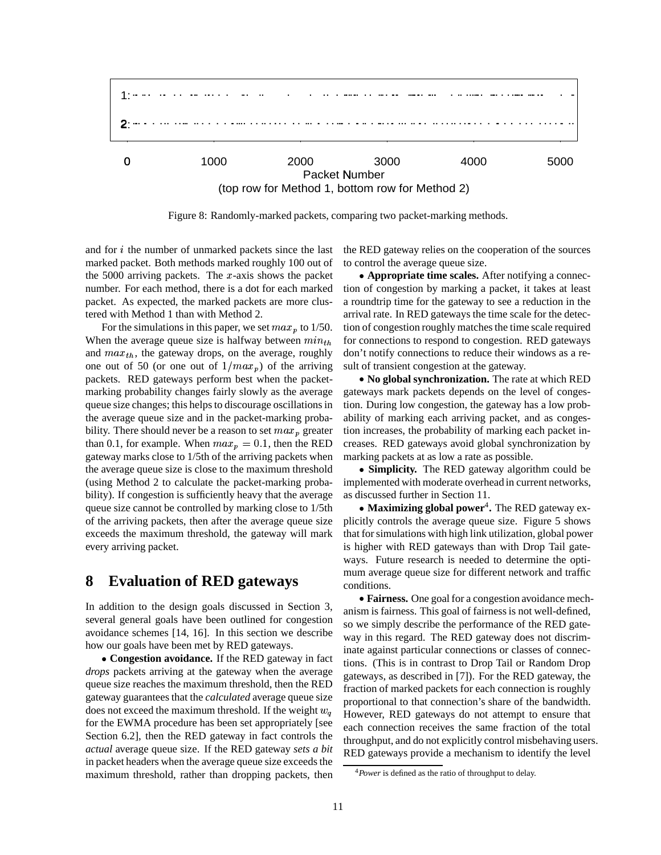

Figure 8: Randomly-marked packets, comparing two packet-marking methods.

and for  $i$  the number of unmarked packets since the last marked packet. Both methods marked roughly 100 out of the 5000 arriving packets. The x-axis shows the packet number. For each method, there is a dot for each marked packet. As expected, the marked packets are more clustered with Method 1 than with Method 2.

For the simulations in this paper, we set  $max_p$  to 1/50. When the average queue size is halfway between  $min_{th}$ and  $max_{th}$ , the gateway drops, on the average, roughly one out of 50 (or one out of  $1/max_p$ ) of the arriving packets. RED gateways perform best when the packetmarking probability changes fairly slowly as the average queue size changes; this helps to discourage oscillations in the average queue size and in the packet-marking probability. There should never be a reason to set  $max_n$  greater than 0.1, for example. When  $max_p = 0.1$ , then the RED gateway marks close to 1/5th of the arriving packets when the average queue size is close to the maximum threshold (using Method 2 to calculate the packet-marking probability). If congestion is sufficiently heavy that the average queue size cannot be controlled by marking close to 1/5th of the arriving packets, then after the average queue size exceeds the maximum threshold, the gateway will mark every arriving packet.

#### **Evaluation of RED gateways** 8

In addition to the design goals discussed in Section 3, several general goals have been outlined for congestion avoidance schemes [14, 16]. In this section we describe how our goals have been met by RED gateways.

• Congestion avoidance. If the RED gateway in fact *drops* packets arriving at the gateway when the average queue size reaches the maximum threshold, then the RED gateway guarantees that the *calculated* average queue size does not exceed the maximum threshold. If the weight  $w_a$ for the EWMA procedure has been set appropriately [see Section 6.2], then the RED gateway in fact controls the *actual* average queue size. If the RED gateway sets a bit in packet headers when the average queue size exceeds the maximum threshold, rather than dropping packets, then the RED gateway relies on the cooperation of the sources to control the average queue size.

• Appropriate time scales. After notifying a connection of congestion by marking a packet, it takes at least a roundtrip time for the gateway to see a reduction in the arrival rate. In RED gateways the time scale for the detection of congestion roughly matches the time scale required for connections to respond to congestion. RED gateways don't notify connections to reduce their windows as a result of transient congestion at the gateway.

• No global synchronization. The rate at which RED gateways mark packets depends on the level of congestion. During low congestion, the gateway has a low probability of marking each arriving packet, and as congestion increases, the probability of marking each packet increases. RED gateways avoid global synchronization by marking packets at as low a rate as possible.

• Simplicity. The RED gateway algorithm could be implemented with moderate overhead in current networks, as discussed further in Section 11.

• Maximizing global power<sup>4</sup>. The RED gateway explicitly controls the average queue size. Figure 5 shows that for simulations with high link utilization, global power is higher with RED gateways than with Drop Tail gateways. Future research is needed to determine the optimum average queue size for different network and traffic conditions.

• Fairness. One goal for a congestion avoidance mechanism is fairness. This goal of fairness is not well-defined, so we simply describe the performance of the RED gateway in this regard. The RED gateway does not discriminate against particular connections or classes of connections. (This is in contrast to Drop Tail or Random Drop gateways, as described in [7]). For the RED gateway, the fraction of marked packets for each connection is roughly proportional to that connection's share of the bandwidth. However, RED gateways do not attempt to ensure that each connection receives the same fraction of the total throughput, and do not explicitly control misbehaving users. RED gateways provide a mechanism to identify the level

 $4$ Power is defined as the ratio of throughput to delay.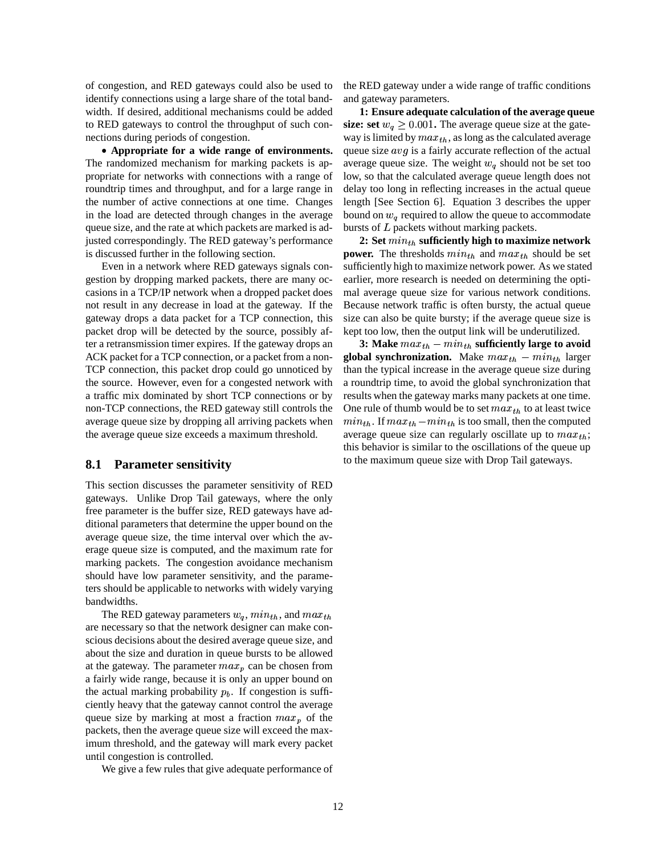of congestion, and RED gateways could also be used to identify connections using a large share of the total bandwidth. If desired, additional mechanisms could be added to RED gateways to control the throughput of such connections during periods of congestion.

<sup>×</sup> **Appropriate for a wide range of environments.** The randomized mechanism for marking packets is appropriate for networks with connections with a range of roundtrip times and throughput, and for a large range in the number of active connections at one time. Changes in the load are detected through changes in the average queue size, and the rate at which packets are marked is adjusted correspondingly. The RED gateway's performance is discussed further in the following section.

Even in a network where RED gateways signals congestion by dropping marked packets, there are many occasions in a TCP/IP network when a dropped packet does not result in any decrease in load at the gateway. If the gateway drops a data packet for a TCP connection, this packet drop will be detected by the source, possibly after a retransmission timer expires. If the gateway drops an ACK packet for a TCP connection, or a packet from a non-TCP connection, this packet drop could go unnoticed by the source. However, even for a congested network with a traffic mix dominated by short TCP connections or by non-TCP connections, the RED gateway still controls the average queue size by dropping all arriving packets when the average queue size exceeds a maximum threshold.

#### **8.1 Parameter sensitivity**

This section discusses the parameter sensitivity of RED gateways. Unlike Drop Tail gateways, where the only free parameter is the buffer size, RED gateways have additional parameters that determine the upper bound on the average queue size, the time interval over which the average queue size is computed, and the maximum rate for marking packets. The congestion avoidance mechanism should have low parameter sensitivity, and the parameters should be applicable to networks with widely varying bandwidths.

The RED gateway parameters  $w_q$ ,  $min_{th}$ , and  $max_{th}$ are necessary so that the network designer can make conscious decisions about the desired average queue size, and about the size and duration in queue bursts to be allowed at the gateway. The parameter  $max_{p}$  can be chosen from a fairly wide range, because it is only an upper bound on the actual marking probability  $p_b$ . If congestion is sufficiently heavy that the gateway cannot control the average queue size by marking at most a fraction  $max_p$  of the packets, then the average queue size will exceed the maximum threshold, and the gateway will mark every packet until congestion is controlled.

We give a few rules that give adequate performance of

the RED gateway under a wide range of traffic conditions and gateway parameters.

**1: Ensure adequate calculationof the averagequeue size:** set  $w_q \geq 0.001$ . The average queue size at the gateway is limited by  $max_{th}$ , as long as the calculated average queue size  $avg$  is a fairly accurate reflection of the actual average queue size. The weight  $w_q$  should not be set too low, so that the calculated average queue length does not delay too long in reflecting increases in the actual queue length [See Section 6]. Equation 3 describes the upper bound on  $w_q$  required to allow the queue to accommodate bursts of  $L$  packets without marking packets.

2: Set  $min_{th}$  sufficiently high to maximize network **power.** The thresholds  $min_{th}$  and  $max_{th}$  should be set sufficiently high to maximize network power. As we stated earlier, more research is needed on determining the optimal average queue size for various network conditions. Because network traffic is often bursty, the actual queue size can also be quite bursty; if the average queue size is kept too low, then the output link will be underutilized.

3: Make  $max_{th} - min_{th}$  sufficiently large to avoid global synchronization. Make  $max_{th} - min_{th}$  larger than the typical increase in the average queue size during a roundtrip time, to avoid the global synchronization that results when the gateway marks many packets at one time. One rule of thumb would be to set  $max_{th}$  to at least twice  $min_{th}$ . If  $max_{th} - min_{th}$  is too small, then the computed average queue size can regularly oscillate up to  $max_{th}$ ; this behavior is similar to the oscillations of the queue up to the maximum queue size with Drop Tail gateways.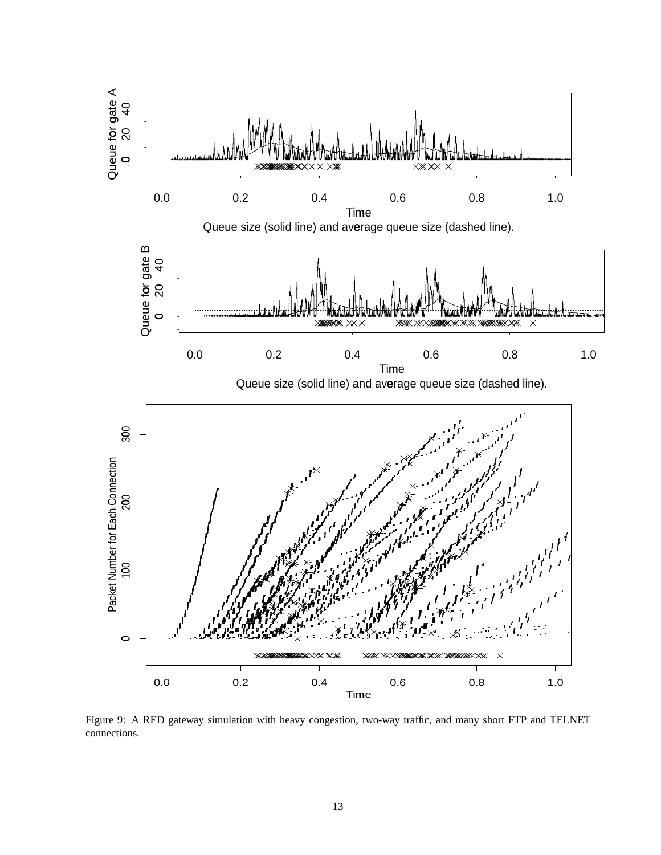

Figure 9: A RED gateway simulation with heavy congestion, two-way traffic, and many short FTP and TELNET connections.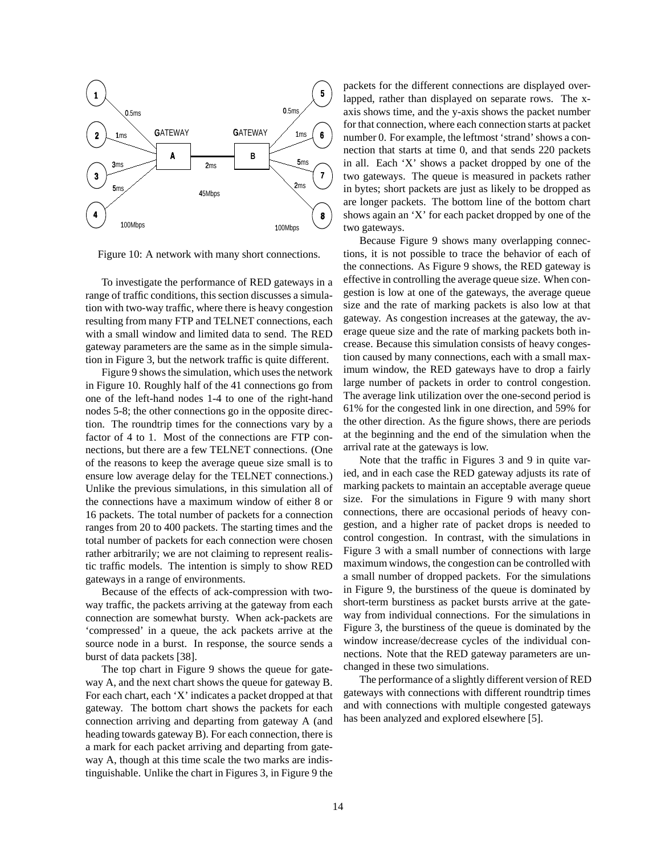

Figure 10: A network with many short connections.

To investigate the performance of RED gateways in a range of traffic conditions, this section discusses a simulation with two-way traffic, where there is heavy congestion resulting from many FTP and TELNET connections, each with a small window and limited data to send. The RED gateway parameters are the same as in the simple simulation in Figure 3, but the network traffic is quite different.

Figure 9 shows the simulation, which uses the network in Figure 10. Roughly half of the 41 connections go from one of the left-hand nodes 1-4 to one of the right-hand nodes 5-8; the other connections go in the opposite direction. The roundtrip times for the connections vary by a factor of 4 to 1. Most of the connections are FTP connections, but there are a few TELNET connections. (One of the reasons to keep the average queue size small is to ensure low average delay for the TELNET connections.) Unlike the previous simulations, in this simulation all of the connections have a maximum window of either 8 or 16 packets. The total number of packets for a connection ranges from 20 to 400 packets. The starting times and the total number of packets for each connection were chosen rather arbitrarily; we are not claiming to represent realistic traffic models. The intention is simply to show RED gateways in a range of environments.

Because of the effects of ack-compression with twoway traffic, the packets arriving at the gateway from each connection are somewhat bursty. When ack-packets are 'compressed' in a queue, the ack packets arrive at the source node in a burst. In response, the source sends a burst of data packets [38].

The top chart in Figure 9 shows the queue for gateway A, and the next chart shows the queue for gateway B. For each chart, each 'X' indicates a packet dropped at that gateway. The bottom chart shows the packets for each connection arriving and departing from gateway A (and heading towards gateway B). For each connection, there is a mark for each packet arriving and departing from gateway A, though at this time scale the two marks are indistinguishable. Unlike the chart in Figures 3, in Figure 9 the

packets for the different connections are displayed overlapped, rather than displayed on separate rows. The xaxis shows time, and the y-axis shows the packet number for that connection, where each connection starts at packet number 0. For example, the leftmost 'strand' shows a connection that starts at time 0, and that sends 220 packets in all. Each 'X' shows a packet dropped by one of the two gateways. The queue is measured in packets rather in bytes; short packets are just as likely to be dropped as are longer packets. The bottom line of the bottom chart shows again an 'X' for each packet dropped by one of the two gateways.

Because Figure 9 shows many overlapping connections, it is not possible to trace the behavior of each of the connections. As Figure 9 shows, the RED gateway is effective in controlling the average queue size. When congestion is low at one of the gateways, the average queue size and the rate of marking packets is also low at that gateway. As congestion increases at the gateway, the average queue size and the rate of marking packets both increase. Because this simulation consists of heavy congestion caused by many connections, each with a small maximum window, the RED gateways have to drop a fairly large number of packets in order to control congestion. The average link utilization over the one-second period is 61% for the congested link in one direction, and 59% for the other direction. As the figure shows, there are periods at the beginning and the end of the simulation when the arrival rate at the gateways is low.

Note that the traffic in Figures 3 and 9 in quite varied, and in each case the RED gateway adjusts its rate of marking packets to maintain an acceptable average queue size. For the simulations in Figure 9 with many short connections, there are occasional periods of heavy congestion, and a higher rate of packet drops is needed to control congestion. In contrast, with the simulations in Figure 3 with a small number of connections with large maximum windows, the congestion can be controlled with a small number of dropped packets. For the simulations in Figure 9, the burstiness of the queue is dominated by short-term burstiness as packet bursts arrive at the gateway from individual connections. For the simulations in Figure 3, the burstiness of the queue is dominated by the window increase/decrease cycles of the individual connections. Note that the RED gateway parameters are unchanged in these two simulations.

The performance of a slightly different version of RED gateways with connections with different roundtrip times and with connections with multiple congested gateways has been analyzed and explored elsewhere [5].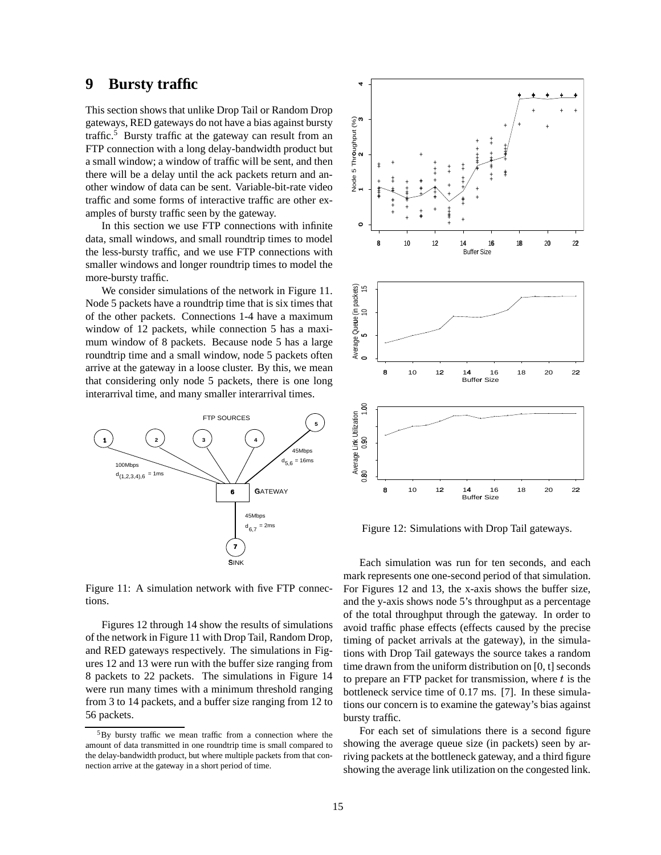## **9 Bursty traffic**

This section shows that unlike Drop Tail or Random Drop gateways, RED gateways do not have a bias against bursty traffic.<sup>5</sup> Bursty traffic at the gateway can result from an FTP connection with a long delay-bandwidth product but a small window; a window of traffic will be sent, and then there will be a delay until the ack packets return and another window of data can be sent. Variable-bit-rate video traffic and some forms of interactive traffic are other examples of bursty traffic seen by the gateway.

In this section we use FTP connections with infinite data, small windows, and small roundtrip times to model the less-bursty traffic, and we use FTP connections with smaller windows and longer roundtrip times to model the more-bursty traffic.

We consider simulations of the network in Figure 11. Node 5 packets have a roundtrip time that is six times that of the other packets. Connections 1-4 have a maximum window of 12 packets, while connection 5 has a maximum window of 8 packets. Because node 5 has a large roundtrip time and a small window, node 5 packets often arrive at the gateway in a loose cluster. By this, we mean that considering only node 5 packets, there is one long interarrival time, and many smaller interarrival times.





Figure 12: Simulations with Drop Tail gateways.

Figure 11: A simulation network with five FTP connections.

Figures 12 through 14 show the results of simulations of the network inFigure 11 with Drop Tail, Random Drop, and RED gateways respectively. The simulations in Figures 12 and 13 were run with the buffer size ranging from 8 packets to 22 packets. The simulations in Figure 14 were run many times with a minimum threshold ranging from 3 to 14 packets, and a buffer size ranging from 12 to 56 packets.

Each simulation was run for ten seconds, and each mark represents one one-second period of that simulation. For Figures 12 and 13, the x-axis shows the buffer size, and the y-axis shows node 5's throughput as a percentage of the total throughput through the gateway. In order to avoid traffic phase effects (effects caused by the precise timing of packet arrivals at the gateway), in the simulations with Drop Tail gateways the source takes a random time drawn from the uniform distribution on [0, t] seconds to prepare an FTP packet for transmission, where  $t$  is the bottleneck service time of 0.17 ms. [7]. In these simulations our concern is to examine the gateway's bias against bursty traffic.

For each set of simulations there is a second figure showing the average queue size (in packets) seen by arriving packets at the bottleneck gateway, and a third figure showing the average link utilization on the congested link.

<sup>5</sup>By bursty traffic we mean traffic from a connection where the amount of data transmitted in one roundtrip time is small compared to the delay-bandwidth product, but where multiple packets from that connection arrive at the gateway in a short period of time.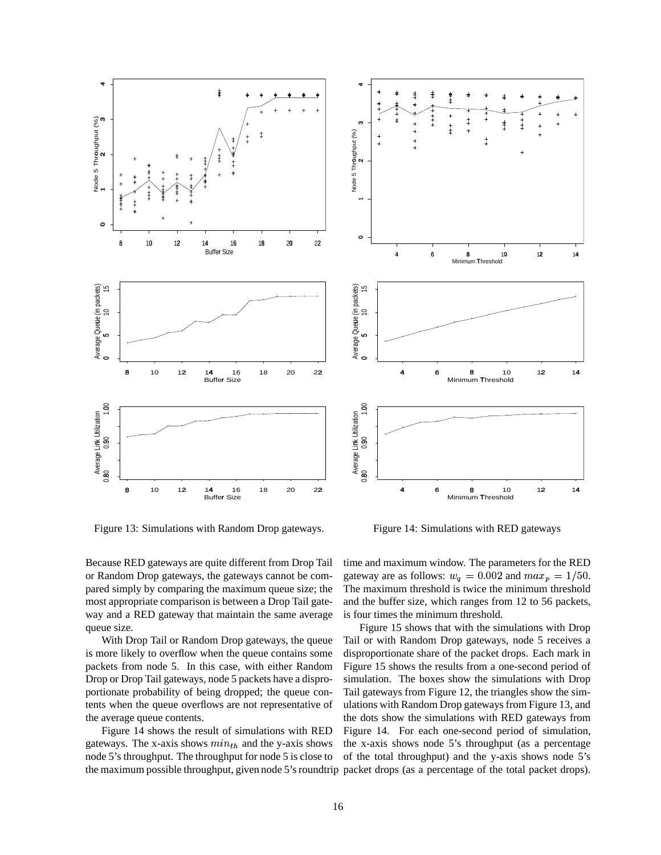

Figure 13: Simulations with Random Drop gateways.

Figure 14: Simulations with RED gateways

Because RED gateways are quite different from Drop Tail or Random Drop gateways, the gateways cannot be compared simply by comparing the maximum queue size; the most appropriate comparison is between a Drop Tail gateway and a RED gateway that maintain the same average queue size.

With Drop Tail or Random Drop gateways, the queue is more likely to overflow when the queue contains some packets from node 5. In this case, with either Random Drop or Drop Tail gateways, node 5 packets have a disproportionate probability of being dropped; the queue contents when the queue overflows are not representative of the average queue contents.

Figure 14 shows the result of simulations with RED gateways. The x-axis shows  $min_{th}$  and the y-axis shows node 5's throughput. The throughput for node 5 is close to

time and maximum window. The parameters for the RED gateway are as follows:  $w_q = 0.002$  and  $max_p = 1/50$ . The maximum threshold is twice the minimum threshold and the buffer size, which ranges from 12 to 56 packets, is four times the minimum threshold.

Figure 15 shows that with the simulations with Drop Tail or with Random Drop gateways, node 5 receives a disproportionate share of the packet drops. Each mark in Figure 15 shows the results from a one-second period of simulation. The boxes show the simulations with Drop Tail gateways from Figure 12, the triangles show the simulations with Random Drop gateways from Figure 13, and the dots show the simulations with RED gateways from Figure 14. For each one-second period of simulation, the x-axis shows node 5's throughput (as a percentage of the total throughput) and the y-axis shows node 5's the maximum possible throughput, given node 5's roundtrip packet drops (as a percentage of the total packet drops).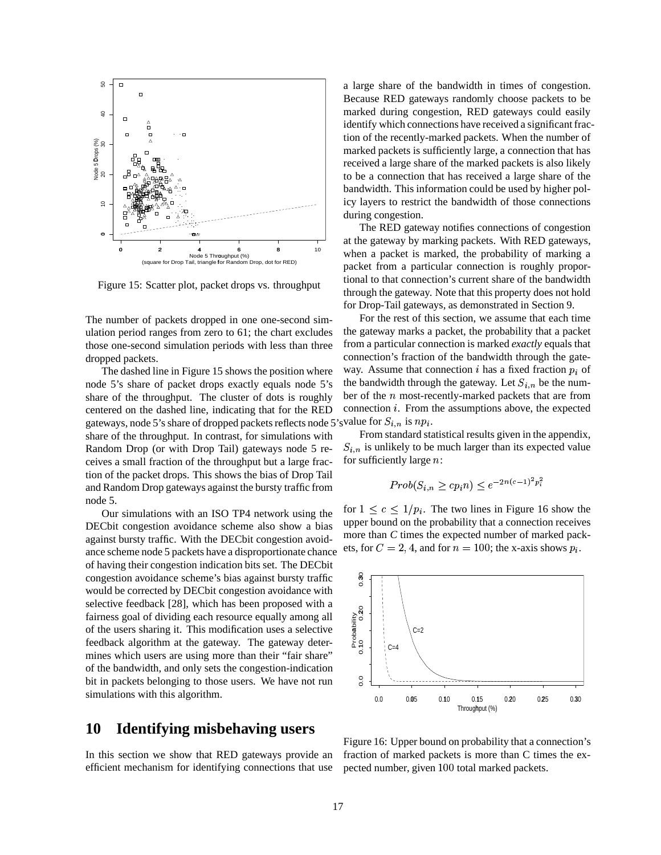

Figure 15: Scatter plot, packet drops vs. throughput

The number of packets dropped in one one-second simulation period ranges from zero to 61; the chart excludes those one-second simulation periods with less than three dropped packets.

The dashed line in Figure 15 shows the position where node 5's share of packet drops exactly equals node 5's share of the throughput. The cluster of dots is roughly centered on the dashed line, indicating that for the RED gateways, node 5's share of dropped packets reflects node 5 share of the throughput. In contrast, for simulations with Random Drop (or with Drop Tail) gateways node 5 receives a small fraction of the throughput but a large fraction of the packet drops. This shows the bias of Drop Tail and Random Drop gateways against the bursty traffic from node 5.

Our simulations with an ISO TP4 network using the DECbit congestion avoidance scheme also show a bias against bursty traffic. With the DECbit congestion avoidance scheme node 5 packets have a disproportionate chance of having their congestion indication bits set. The DECbit congestion avoidance scheme's bias against bursty traffic would be corrected by DECbit congestion avoidance with selective feedback [28], which has been proposed with a fairness goal of dividing each resource equally among all of the users sharing it. This modification uses a selective feedback algorithm at the gateway. The gateway determines which users are using more than their "fair share" of the bandwidth, and only sets the congestion-indication bit in packets belonging to those users. We have not run simulations with this algorithm.

## **10 Identifying misbehaving users**

In this section we show that RED gateways provide an efficient mechanism for identifying connections that use a large share of the bandwidth in times of congestion. Because RED gateways randomly choose packets to be marked during congestion, RED gateways could easily identify which connections have received a significant fraction of the recently-marked packets. When the number of marked packets is sufficiently large, a connection that has received a large share of the marked packets is also likely to be a connection that has received a large share of the bandwidth. This information could be used by higher policy layers to restrict the bandwidth of those connections during congestion.

The RED gateway notifies connections of congestion at the gateway by marking packets. With RED gateways, when a packet is marked, the probability of marking a packet from a particular connection is roughly proportional to that connection's current share of the bandwidth through the gateway. Note that this property does not hold for Drop-Tail gateways, as demonstrated in Section 9.

For the rest of this section, we assume that each time the gateway marks a packet, the probability that a packet from a particular connection is marked *exactly* equals that connection's fraction of the bandwidth through the gateway. Assume that connection  $i$  has a fixed fraction  $p_i$  of the bandwidth through the gateway. Let  $S_{i,n}$  be the number of the  $n$  most-recently-marked packets that are from connection  $i$ . From the assumptions above, the expected value for  $S_{i,n}$  is  $np_i$ .

From standard statistical results given in the appendix,  $S_{i,n}$  is unlikely to be much larger than its expected value for sufficiently large  $n$ :

$$
Prob(S_{i,n} \geq c p_i n) \leq e^{-2n(c-1)^2 p_i^2}
$$

¡

for  $1 \leq c \leq 1/p_i$ . The two lines in Figure 16 show the upper bound on the probability that a connection receives more than *C* times the expected number of marked packets, for  $C = 2, 4$ , and for  $n = 100$ ; the x-axis shows  $p_i$ .



Figure 16: Upper bound on probability that a connection's fraction of marked packets is more than C times the expected number, given 100 total marked packets.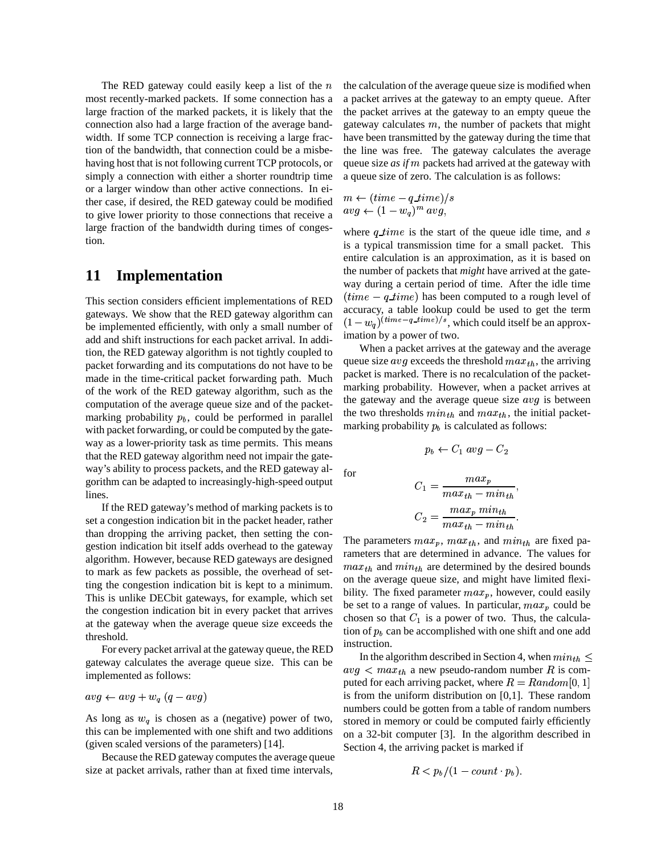The RED gateway could easily keep a list of the  $n$ most recently-marked packets. If some connection has a large fraction of the marked packets, it is likely that the connection also had a large fraction of the average bandwidth. If some TCP connection is receiving a large fraction of the bandwidth, that connection could be a misbehaving host that is not following current TCP protocols, or simply a connection with either a shorter roundtrip time or a larger window than other active connections. In either case, if desired, the RED gateway could be modified to give lower priority to those connections that receive a large fraction of the bandwidth during times of congestion.

## **11 Implementation**

This section considers efficient implementations of RED gateways. We show that the RED gateway algorithm can be implemented efficiently, with only a small number of add and shift instructions for each packet arrival. In addition, the RED gateway algorithm is not tightly coupled to packet forwarding and its computations do not have to be made in the time-critical packet forwarding path. Much of the work of the RED gateway algorithm, such as the computation of the average queue size and of the packetmarking probability  $p_b$ , could be performed in parallel with packet forwarding, or could be computed by the gateway as a lower-priority task as time permits. This means that the RED gateway algorithm need not impair the gateway's ability to process packets, and the RED gateway algorithm can be adapted to increasingly-high-speed output lines.

If the RED gateway's method of marking packets is to set a congestion indication bit in the packet header, rather than dropping the arriving packet, then setting the congestion indication bit itself adds overhead to the gateway algorithm. However, because RED gateways are designed to mark as few packets as possible, the overhead of setting the congestion indication bit is kept to a minimum. This is unlike DECbit gateways, for example, which set the congestion indication bit in every packet that arrives at the gateway when the average queue size exceeds the threshold.

For every packet arrival at the gateway queue, the RED gateway calculates the average queue size. This can be implemented as follows:

$$
avg \leftarrow avg + w_q (q - avg)
$$

As long as  $w_q$  is chosen as a (negative) power of two, this can be implemented with one shift and two additions (given scaled versions of the parameters) [14].

Because the RED gateway computes the average queue size at packet arrivals, rather than at fixed time intervals,

the calculation of the average queue size is modified when a packet arrives at the gateway to an empty queue. After the packet arrives at the gateway to an empty queue the gateway calculates  $m$ , the number of packets that might have been transmitted by the gateway during the time that the line was free. The gateway calculates the average queue size *as if m* packets had arrived at the gateway with a queue size of zero. The calculation is as follows:

$$
m \leftarrow (time - q\_time)/s
$$
  
 
$$
avg \leftarrow (1 - w_q)^m \, avg,
$$

where  $q_time$  is the start of the queue idle time, and  $s$ is a typical transmission time for a small packet. This entire calculation is an approximation, as it is based on the number of packets that *might* have arrived at the gateway during a certain period of time. After the idle time  $(time - q_time)$  has been computed to a rough level of accuracy, a table lookup could be used to get the term  $(1-w_q)^{(time-q_time)/s}$ , which could itself be an approximation by a power of two.

When a packet arrives at the gateway and the average queue size  $avg$  exceeds the threshold  $max_{th}$ , the arriving packet is marked. There is no recalculation of the packetmarking probability. However, when a packet arrives at the gateway and the average queue size  $\arg a \sin b$  is between the two thresholds  $min_{th}$  and  $max_{th}$ , the initial packetmarking probability  $p<sub>b</sub>$  is calculated as follows:

$$
p_b \leftarrow C_1 \, avg - C_2
$$

for

$$
C_1 = \frac{max_p}{max_{th} - min_{th}},
$$

$$
C_2 = \frac{max_p \ min_{th}}{max_{th} - min_{th}}.
$$

The parameters  $max_p$ ,  $max_{th}$ , and  $min_{th}$  are fixed parameters that are determined in advance. The values for  $max_{th}$  and  $min_{th}$  are determined by the desired bounds on the average queue size, and might have limited flexibility. The fixed parameter  $max_p$ , however, could easily be set to a range of values. In particular,  $max_p$  could be chosen so that  $C_1$  is a power of two. Thus, the calculation of  $p_b$  can be accomplished with one shift and one add instruction.

In the algorithm described in Section 4, when  $min_{th} \leq$  $\omega$   $g$   $\langle$   $max_{th}$  a new pseudo-random number  ${R}$  is computed for each arriving packet, where  $R=R and om[0,1]$ is from the uniform distribution on [0,1]. These random numbers could be gotten from a table of random numbers stored in memory or could be computed fairly efficiently on a 32-bit computer [3]. In the algorithm described in Section 4, the arriving packet is marked if

$$
R < p_b/(1 - count \cdot p_b).
$$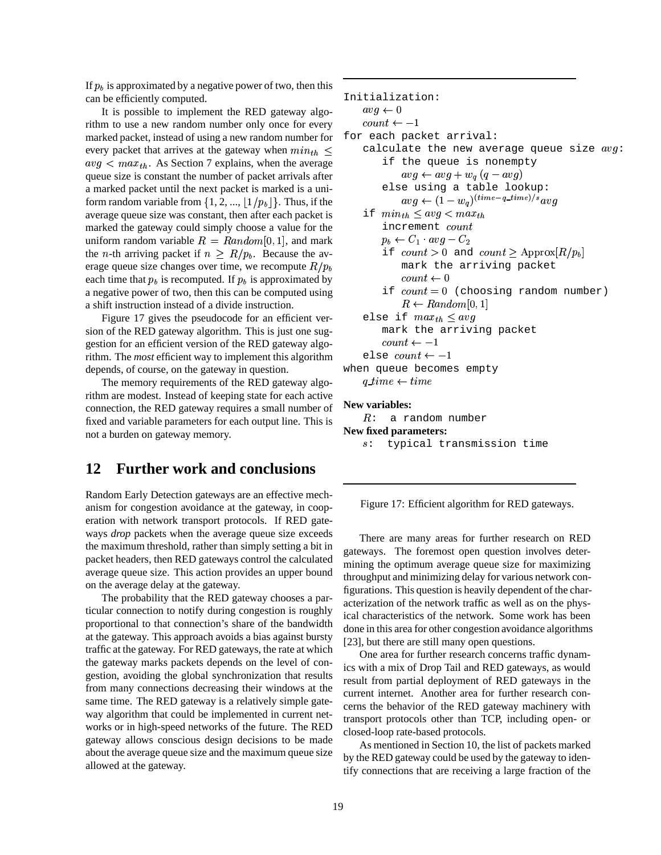If  $p<sub>b</sub>$  is approximated by a negative power of two, then this can be efficiently computed.

It is possible to implement the RED gateway algorithm to use a new random number only once for every marked packet, instead of using a new random number for every packet that arrives at the gateway when  $min_{th}$  <  $\omega$   $\leq$   $\max_{th}$ . As Section 7 explains, when the average queue size is constant the number of packet arrivals after a marked packet until the next packet is marked is a uniform random variable from  $\{1, 2, ..., |1/p_b|\}$ . Thus, if the average queue size was constant, then after each packet is marked the gateway could simply choose a value for the uniform random variable  $R = Random[0, 1]$ , and mark the *n*-th arriving packet if  $n \ge R/p_b$ . Because the average queue size changes over time, we recompute  $R/p_b$ each time that  $p_b$  is recomputed. If  $p_b$  is approximated by a negative power of two, then this can be computed using a shift instruction instead of a divide instruction.

Figure 17 gives the pseudocode for an efficient version of the RED gateway algorithm. This is just one suggestion for an efficient version of the RED gateway algorithm. The *most* efficient way to implement this algorithm depends, of course, on the gateway in question.

The memory requirements of the RED gateway algorithm are modest. Instead of keeping state for each active connection, the RED gateway requires a small number of fixed and variable parameters for each output line. This is not a burden on gateway memory.

## **12 Further work and conclusions**

Random Early Detection gateways are an effective mechanism for congestion avoidance at the gateway, in cooperation with network transport protocols. If RED gateways *drop* packets when the average queue size exceeds the maximum threshold, rather than simply setting a bit in packet headers, then RED gateways control the calculated average queue size. This action provides an upper bound on the average delay at the gateway.

The probability that the RED gateway chooses a particular connection to notify during congestion is roughly proportional to that connection's share of the bandwidth at the gateway. This approach avoids a bias against bursty traffic at the gateway. For RED gateways, the rate at which the gateway marks packets depends on the level of congestion, avoiding the global synchronization that results from many connections decreasing their windows at the same time. The RED gateway is a relatively simple gateway algorithm that could be implemented in current networks or in high-speed networks of the future. The RED gateway allows conscious design decisions to be made about the average queue size and the maximum queue size allowed at the gateway.

```
Initialization:
```

```
\omega q \leftarrow 0
```
 $count \leftarrow -1$ 

for each packet arrival:

```
calculate the new average queue size avg:if the queue is nonempty
          \left[ \begin{array}{c} avg \leftarrow avg + w_q \ (q - avg) \end{array} \right]
```

```
else using a table lookup:
         (1 - w_a)^{(time - q\_time) / s}
```

```
\blacksquare
```

```
if min_{th} \leq avg < max_{th}increment count
   p_b \leftarrow C_1 \cdot avg - C_2if count > 0 and count \geq Approx[R/p_b]
```

```
mark the arriving packet
count \leftarrow 0
```

```
if count = 0 (choosing random number)
   R \leftarrow Random[0,1]
```

```
else if max_{th} \leq avg
```

```
mark the arriving packet
```

```
count \leftarrow -1
```

```
else count \leftarrow -1when queue becomes empty
   q\_time \leftarrow time
```
#### **New variables:**

```
R\colon \; a random number
New fixed parameters:
   s: typical transmission time
```
Figure 17: Efficient algorithm for RED gateways.

There are many areas for further research on RED gateways. The foremost open question involves determining the optimum average queue size for maximizing throughput and minimizing delay for various network configurations. This question is heavily dependent of the characterization of the network traffic as well as on the physical characteristics of the network. Some work has been done in this area for other congestion avoidance algorithms [23], but there are still many open questions.

One area for further research concerns traffic dynamics with a mix of Drop Tail and RED gateways, as would result from partial deployment of RED gateways in the current internet. Another area for further research concerns the behavior of the RED gateway machinery with transport protocols other than TCP, including open- or closed-loop rate-based protocols.

As mentioned in Section 10, the list of packets marked by the RED gateway could be used by the gateway to identify connections that are receiving a large fraction of the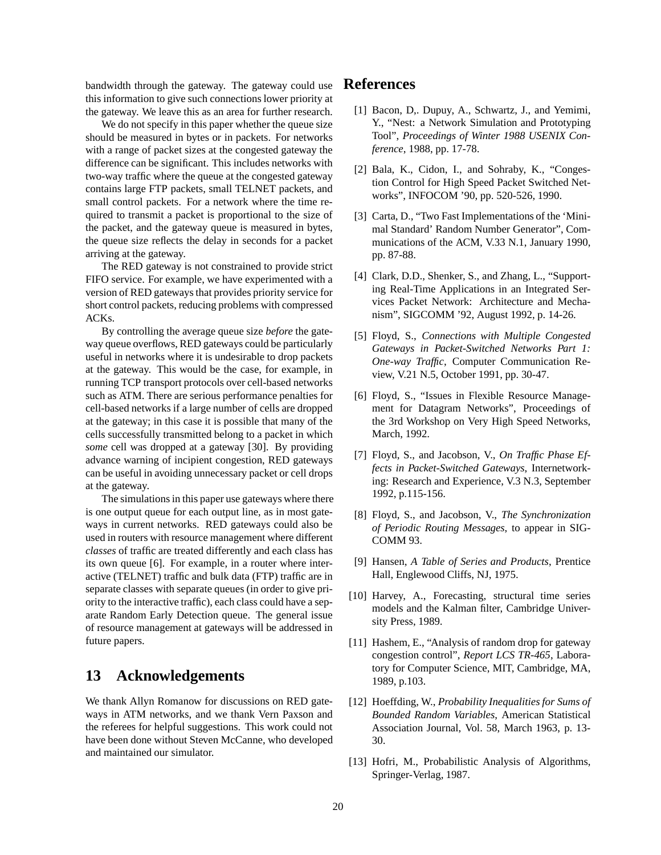bandwidth through the gateway. The gateway could use this information to give such connections lower priority at the gateway. We leave this as an area for further research.

We do not specify in this paper whether the queue size should be measured in bytes or in packets. For networks with a range of packet sizes at the congested gateway the difference can be significant. This includes networks with two-way traffic where the queue at the congested gateway contains large FTP packets, small TELNET packets, and small control packets. For a network where the time required to transmit a packet is proportional to the size of the packet, and the gateway queue is measured in bytes, the queue size reflects the delay in seconds for a packet arriving at the gateway.

The RED gateway is not constrained to provide strict FIFO service. For example, we have experimented with a version of RED gateways that provides priority service for short control packets, reducing problems with compressed ACKs.

By controlling the average queue size *before* the gateway queue overflows, RED gateways could be particularly useful in networks where it is undesirable to drop packets at the gateway. This would be the case, for example, in running TCP transport protocols over cell-based networks such as ATM. There are serious performance penalties for cell-based networks if a large number of cells are dropped at the gateway; in this case it is possible that many of the cells successfully transmitted belong to a packet in which *some* cell was dropped at a gateway [30]. By providing advance warning of incipient congestion, RED gateways can be useful in avoiding unnecessary packet or cell drops at the gateway.

The simulations in this paper use gateways where there is one output queue for each output line, as in most gateways in current networks. RED gateways could also be used in routers with resource management where different *classes* of traffic are treated differently and each class has its own queue [6]. For example, in a router where interactive (TELNET) traffic and bulk data (FTP) traffic are in separate classes with separate queues (in order to give priority to the interactive traffic), each class could have a separate Random Early Detection queue. The general issue of resource management at gateways will be addressed in future papers.

## **13 Acknowledgements**

We thank Allyn Romanow for discussions on RED gateways in ATM networks, and we thank Vern Paxson and the referees for helpful suggestions. This work could not have been done without Steven McCanne, who developed and maintained our simulator.

## **References**

- [1] Bacon, D,. Dupuy, A., Schwartz, J., and Yemimi, Y., "Nest: a Network Simulation and Prototyping Tool", *Proceedings of Winter 1988 USENIX Conference*, 1988, pp. 17-78.
- [2] Bala, K., Cidon, I., and Sohraby, K., "Congestion Control for High Speed Packet Switched Networks", INFOCOM '90, pp. 520-526, 1990.
- [3] Carta, D., "Two Fast Implementations of the 'Minimal Standard' Random Number Generator", Communications of the ACM, V.33 N.1, January 1990, pp. 87-88.
- [4] Clark, D.D., Shenker, S., and Zhang, L., "Supporting Real-Time Applications in an Integrated Services Packet Network: Architecture and Mechanism", SIGCOMM '92, August 1992, p. 14-26.
- [5] Floyd, S., *Connections with Multiple Congested Gateways in Packet-Switched Networks Part 1: One-way Traffic*, Computer Communication Review, V.21 N.5, October 1991, pp. 30-47.
- [6] Floyd, S., "Issues in Flexible Resource Management for Datagram Networks", Proceedings of the 3rd Workshop on Very High Speed Networks, March, 1992.
- [7] Floyd, S., and Jacobson, V., *On Traffic Phase Effects in Packet-Switched Gateways*, Internetworking: Research and Experience, V.3 N.3, September 1992, p.115-156.
- [8] Floyd, S., and Jacobson, V., *The Synchronization of Periodic Routing Messages*, to appear in SIG-COMM 93.
- [9] Hansen, *A Table of Series and Products*, Prentice Hall, Englewood Cliffs, NJ, 1975.
- [10] Harvey, A., Forecasting, structural time series models and the Kalman filter, Cambridge University Press, 1989.
- [11] Hashem, E., "Analysis of random drop for gateway congestion control", *Report LCS TR-465*, Laboratory for Computer Science, MIT, Cambridge, MA, 1989, p.103.
- [12] Hoeffding, W., *Probability Inequalities for Sums of Bounded Random Variables*, American Statistical Association Journal, Vol. 58, March 1963, p. 13- 30.
- [13] Hofri, M., Probabilistic Analysis of Algorithms, Springer-Verlag, 1987.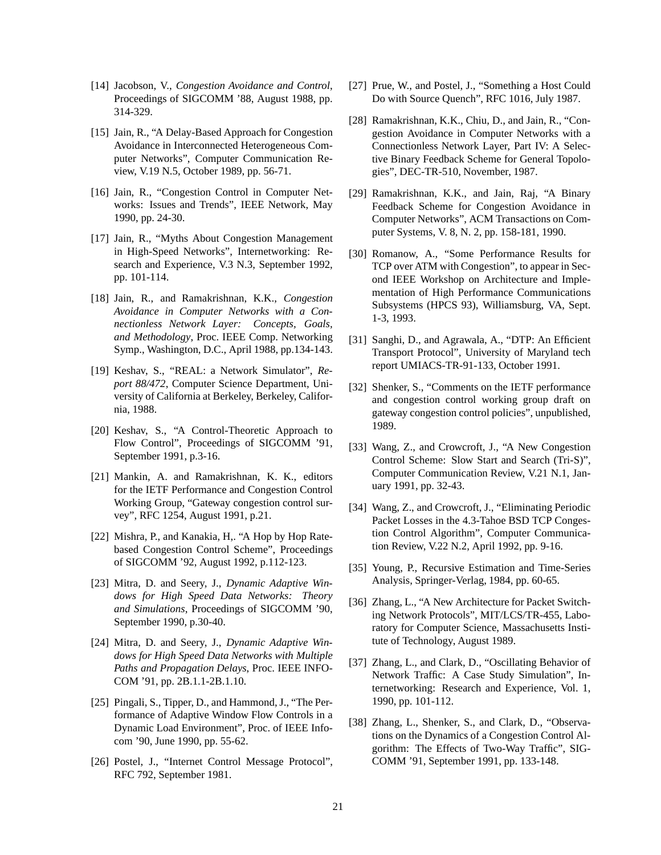- [14] Jacobson, V., *Congestion Avoidance and Control*, Proceedings of SIGCOMM '88, August 1988, pp. 314-329.
- [15] Jain, R., "A Delay-Based Approach for Congestion Avoidance in Interconnected Heterogeneous Computer Networks", Computer Communication Review, V.19 N.5, October 1989, pp. 56-71.
- [16] Jain, R., "Congestion Control in Computer Networks: Issues and Trends", IEEE Network, May 1990, pp. 24-30.
- [17] Jain, R., "Myths About Congestion Management in High-Speed Networks", Internetworking: Research and Experience, V.3 N.3, September 1992, pp. 101-114.
- [18] Jain, R., and Ramakrishnan, K.K., *Congestion Avoidance in Computer Networks with a Connectionless Network Layer: Concepts, Goals, and Methodology*, Proc. IEEE Comp. Networking Symp., Washington, D.C., April 1988, pp.134-143.
- [19] Keshav, S., "REAL: a Network Simulator", *Report 88/472*, Computer Science Department, University of California at Berkeley, Berkeley, California, 1988.
- [20] Keshav, S., "A Control-Theoretic Approach to Flow Control", Proceedings of SIGCOMM '91, September 1991, p.3-16.
- [21] Mankin, A. and Ramakrishnan, K. K., editors for the IETF Performance and Congestion Control Working Group, "Gateway congestion control survey", RFC 1254, August 1991, p.21.
- [22] Mishra, P., and Kanakia, H,. "A Hop by Hop Ratebased Congestion Control Scheme", Proceedings of SIGCOMM '92, August 1992, p.112-123.
- [23] Mitra, D. and Seery, J., *Dynamic Adaptive Windows for High Speed Data Networks: Theory and Simulations*, Proceedings of SIGCOMM '90, September 1990, p.30-40.
- [24] Mitra, D. and Seery, J., *Dynamic Adaptive Windows for High Speed Data Networks with Multiple Paths and Propagation Delays*, Proc. IEEE INFO-COM '91, pp. 2B.1.1-2B.1.10.
- [25] Pingali, S., Tipper, D., and Hammond, J., "The Performance of Adaptive Window Flow Controls in a Dynamic Load Environment", Proc. of IEEE Infocom '90, June 1990, pp. 55-62.
- [26] Postel, J., "Internet Control Message Protocol", RFC 792, September 1981.
- [27] Prue, W., and Postel, J., "Something a Host Could Do with Source Quench", RFC 1016, July 1987.
- [28] Ramakrishnan, K.K., Chiu, D., and Jain, R., "Congestion Avoidance in Computer Networks with a Connectionless Network Layer, Part IV: A Selective Binary Feedback Scheme for General Topologies", DEC-TR-510, November, 1987.
- [29] Ramakrishnan, K.K., and Jain, Raj, "A Binary Feedback Scheme for Congestion Avoidance in Computer Networks", ACM Transactions on Computer Systems, V. 8, N. 2, pp. 158-181, 1990.
- [30] Romanow, A., "Some Performance Results for TCP over ATM with Congestion", to appear in Second IEEE Workshop on Architecture and Implementation of High Performance Communications Subsystems (HPCS 93), Williamsburg, VA, Sept. 1-3, 1993.
- [31] Sanghi, D., and Agrawala, A., "DTP: An Efficient Transport Protocol", University of Maryland tech report UMIACS-TR-91-133, October 1991.
- [32] Shenker, S., "Comments on the IETF performance and congestion control working group draft on gateway congestion control policies", unpublished, 1989.
- [33] Wang, Z., and Crowcroft, J., "A New Congestion Control Scheme: Slow Start and Search (Tri-S)", Computer Communication Review, V.21 N.1, January 1991, pp. 32-43.
- [34] Wang, Z., and Crowcroft, J., "Eliminating Periodic Packet Losses in the 4.3-Tahoe BSD TCP Congestion Control Algorithm", Computer Communication Review, V.22 N.2, April 1992, pp. 9-16.
- [35] Young, P., Recursive Estimation and Time-Series Analysis, Springer-Verlag, 1984, pp. 60-65.
- [36] Zhang, L., "A New Architecture for Packet Switching Network Protocols", MIT/LCS/TR-455, Laboratory for Computer Science, Massachusetts Institute of Technology, August 1989.
- [37] Zhang, L., and Clark, D., "Oscillating Behavior of Network Traffic: A Case Study Simulation", Internetworking: Research and Experience, Vol. 1, 1990, pp. 101-112.
- [38] Zhang, L., Shenker, S., and Clark, D., "Observations on the Dynamics of a Congestion Control Algorithm: The Effects of Two-Way Traffic", SIG-COMM '91, September 1991, pp. 133-148.